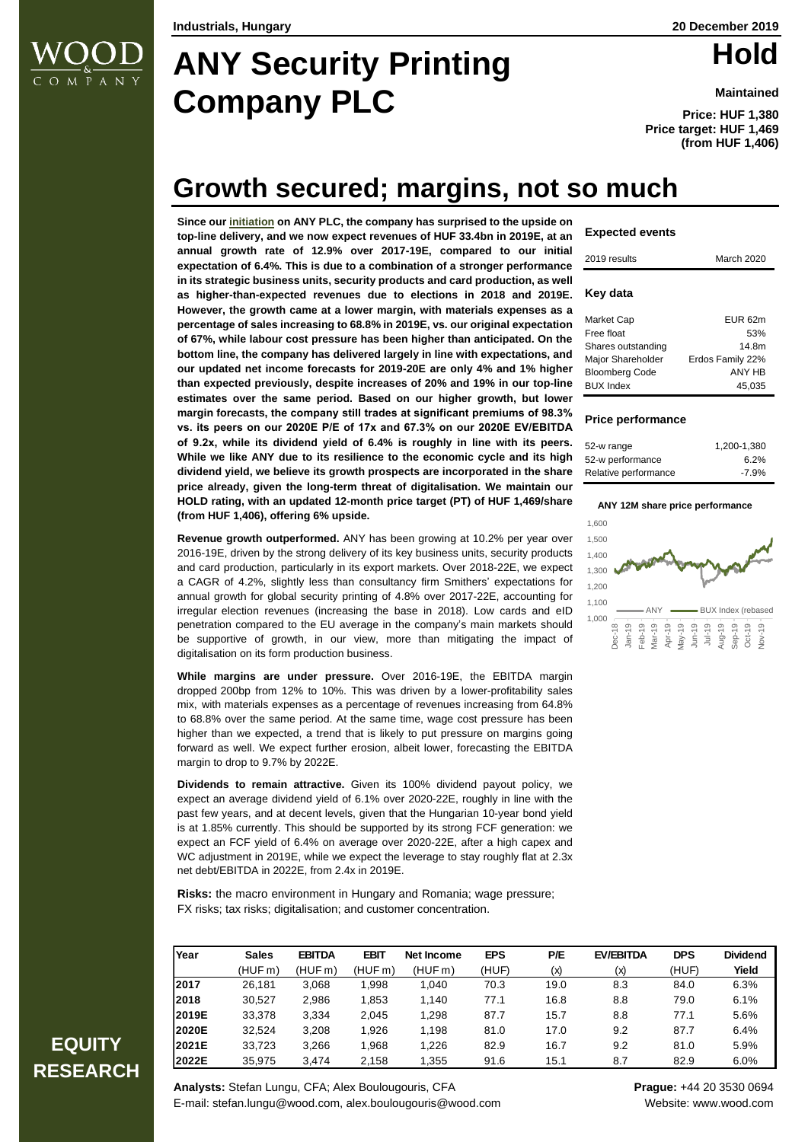# **ANY Security Printing Company PLC**

# **Hold**

**Maintained**

**Price: HUF 1,380 Price target: HUF 1,469 (from HUF 1,406)**

# **Growth secured; margins, not so much**

**Since our [initiation](https://research.wood.cz/go/136848f0-ec6a-49b4-b6ab-92cd24050e62/Hungary_Industrials_%20ANY%20Security%20Printing%20Company_Initiation%20of%20Coverage_15Dec2017.pdf) on ANY PLC, the company has surprised to the upside on top-line delivery, and we now expect revenues of HUF 33.4bn in 2019E, at an annual growth rate of 12.9% over 2017-19E, compared to our initial expectation of 6.4%. This is due to a combination of a stronger performance in its strategic business units, security products and card production, as well as higher-than-expected revenues due to elections in 2018 and 2019E. However, the growth came at a lower margin, with materials expenses as a percentage of sales increasing to 68.8% in 2019E, vs. our original expectation of 67%, while labour cost pressure has been higher than anticipated. On the bottom line, the company has delivered largely in line with expectations, and our updated net income forecasts for 2019-20E are only 4% and 1% higher than expected previously, despite increases of 20% and 19% in our top-line estimates over the same period. Based on our higher growth, but lower margin forecasts, the company still trades at significant premiums of 98.3% vs. its peers on our 2020E P/E of 17x and 67.3% on our 2020E EV/EBITDA of 9.2x, while its dividend yield of 6.4% is roughly in line with its peers. While we like ANY due to its resilience to the economic cycle and its high dividend yield, we believe its growth prospects are incorporated in the share price already, given the long-term threat of digitalisation. We maintain our HOLD rating, with an updated 12-month price target (PT) of HUF 1,469/share (from HUF 1,406), offering 6% upside.** 

**Revenue growth outperformed.** ANY has been growing at 10.2% per year over 2016-19E, driven by the strong delivery of its key business units, security products and card production, particularly in its export markets. Over 2018-22E, we expect a CAGR of 4.2%, slightly less than consultancy firm Smithers' expectations for annual growth for global security printing of 4.8% over 2017-22E, accounting for irregular election revenues (increasing the base in 2018). Low cards and eID penetration compared to the EU average in the company's main markets should be supportive of growth, in our view, more than mitigating the impact of digitalisation on its form production business.

**While margins are under pressure.** Over 2016-19E, the EBITDA margin dropped 200bp from 12% to 10%. This was driven by a lower-profitability sales mix, with materials expenses as a percentage of revenues increasing from 64.8% to 68.8% over the same period. At the same time, wage cost pressure has been higher than we expected, a trend that is likely to put pressure on margins going forward as well. We expect further erosion, albeit lower, forecasting the EBITDA margin to drop to 9.7% by 2022E.

**Dividends to remain attractive.** Given its 100% dividend payout policy, we expect an average dividend yield of 6.1% over 2020-22E, roughly in line with the past few years, and at decent levels, given that the Hungarian 10-year bond yield is at 1.85% currently. This should be supported by its strong FCF generation: we expect an FCF yield of 6.4% on average over 2020-22E, after a high capex and WC adjustment in 2019E, while we expect the leverage to stay roughly flat at 2.3x net debt/EBITDA in 2022E, from 2.4x in 2019E.

**Risks:** the macro environment in Hungary and Romania; wage pressure; FX risks; tax risks; digitalisation; and customer concentration.

| Year  | <b>Sales</b> | <b>EBITDA</b> | <b>EBIT</b> | Net Income | <b>EPS</b> | P/E  | <b>EV/EBITDA</b> | <b>DPS</b> | <b>Dividend</b> |
|-------|--------------|---------------|-------------|------------|------------|------|------------------|------------|-----------------|
|       | (HUFm)       | (HUF m)       | (HUF m)     | (HUFm)     | (HUF)      | (x)  | (x)              | (HUF)      | Yield           |
| 2017  | 26,181       | 3,068         | 1,998       | 1.040      | 70.3       | 19.0 | 8.3              | 84.0       | 6.3%            |
| 2018  | 30.527       | 2,986         | 1,853       | 1.140      | 77.1       | 16.8 | 8.8              | 79.0       | 6.1%            |
| 2019E | 33,378       | 3,334         | 2,045       | 1,298      | 87.7       | 15.7 | 8.8              | 77.1       | 5.6%            |
| 2020E | 32.524       | 3.208         | 1,926       | 1,198      | 81.0       | 17.0 | 9.2              | 87.7       | 6.4%            |
| 2021E | 33,723       | 3,266         | 1,968       | 1,226      | 82.9       | 16.7 | 9.2              | 81.0       | 5.9%            |
| 2022E | 35,975       | 3.474         | 2,158       | 1,355      | 91.6       | 15.1 | 8.7              | 82.9       | $6.0\%$         |

# **EQUITY RESEARCH**

**Analysts: Stefan Lungu, CFA; Alex Boulougouris, CFA** E-mail: stefan.lungu@wood.com, alex.boulougouris@wood.com

### **Expected events**

| 2019 results                                                                                                     | March 2020                                                      |
|------------------------------------------------------------------------------------------------------------------|-----------------------------------------------------------------|
| Key data                                                                                                         |                                                                 |
| Market Cap<br>Free float<br>Shares outstanding<br>Major Shareholder<br><b>Bloomberg Code</b><br><b>BUX</b> Index | EUR 62m<br>53%<br>14 Rm<br>Erdos Family 22%<br>ANY HR<br>45,035 |

### **Price performance**

| 52-w range           | 1,200-1,380 |
|----------------------|-------------|
| 52-w performance     | 6.2%        |
| Relative performance | $-7.9%$     |

#### **ANY 12M share price performance**



| Prague: +44 20 3530 0694 |
|--------------------------|
| Website: www.wood.com    |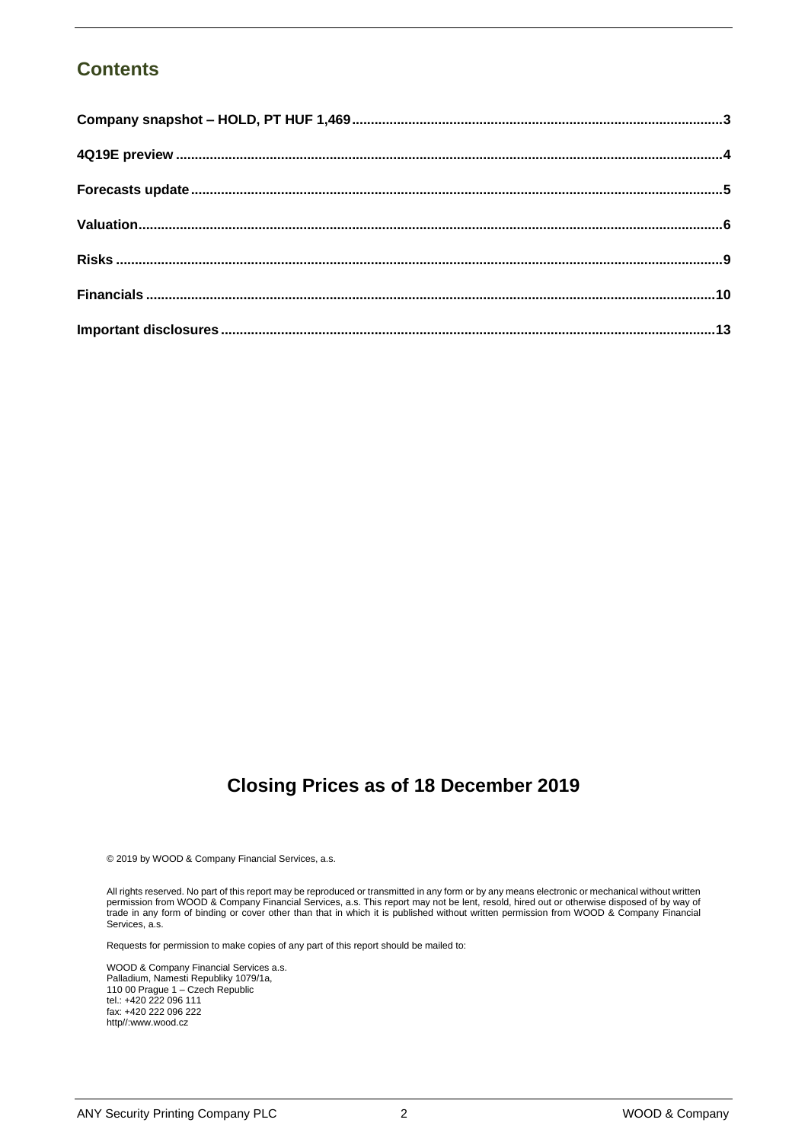# **Contents**

# **Closing Prices as of 18 December 2019**

© 2019 by WOOD & Company Financial Services, a.s.

All rights reserved. No part of this report may be reproduced or transmitted in any form or by any means electronic or mechanical without written permission from WOOD & Company Financial Services, a.s. This report may not be lent, resold, hired out or otherwise disposed of by way of trade in any form of binding or cover other than that in which it is published without written permission from WOOD & Company Financial Services, a.s.

Requests for permission to make copies of any part of this report should be mailed to:

WOOD & Company Financial Services a.s. Palladium, Namesti Republiky 1079/1a, 110 00 Prague 1 – Czech Republic tel.: +420 222 096 111 fax: +420 222 096 222 http//:www.wood.cz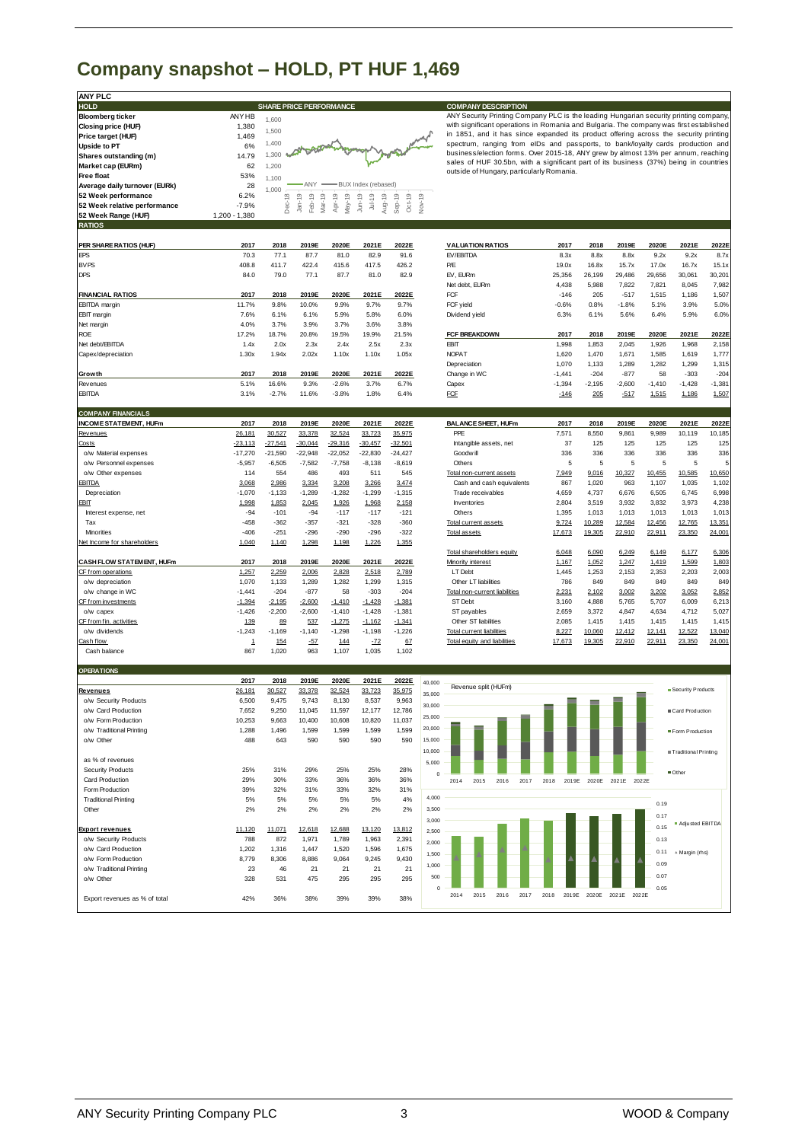# <span id="page-2-0"></span>**Company snapshot – HOLD, PT HUF 1,469**

| <b>ANY PLC</b>                                      |                          |                    |                                     |                      |                                         |                            |         |                                                                                                                                                                                 |                |                |                |                |                                            |                 |
|-----------------------------------------------------|--------------------------|--------------------|-------------------------------------|----------------------|-----------------------------------------|----------------------------|---------|---------------------------------------------------------------------------------------------------------------------------------------------------------------------------------|----------------|----------------|----------------|----------------|--------------------------------------------|-----------------|
| <b>HOLD</b>                                         |                          |                    | <b>SHARE PRICE PERFORMANCE</b>      |                      |                                         |                            |         | <b>COMPANY DESCRIPTION</b>                                                                                                                                                      |                |                |                |                |                                            |                 |
| <b>Bloomberg ticker</b>                             | ANY HB<br>1,380          | 1,600              |                                     |                      |                                         |                            |         | ANY Security Printing Company PLC is the leading Hungarian security printing company,<br>with significant operations in Romania and Bulgaria. The company was first established |                |                |                |                |                                            |                 |
| Closing price (HUF)<br>Price target (HUF)           | 1,469                    | 1,500              |                                     |                      |                                         |                            |         | in 1851, and it has since expanded its product offering across the security printing                                                                                            |                |                |                |                |                                            |                 |
| <b>Upside to PT</b>                                 | 6%                       | 1,400              |                                     |                      |                                         |                            |         | spectrum, ranging from eIDs and passports, to bank/loyalty cards production and                                                                                                 |                |                |                |                |                                            |                 |
| Shares outstanding (m)                              | 14.79                    | 1,300              |                                     |                      |                                         |                            |         | business/election forms. Over 2015-18, ANY grew by almost 13% per annum, reaching                                                                                               |                |                |                |                |                                            |                 |
| Market cap (EURm)                                   | 62                       | 1,200              |                                     |                      |                                         |                            |         | sales of HUF 30.5bn, with a significant part of its business (37%) being in countries                                                                                           |                |                |                |                |                                            |                 |
| Free float                                          | 53%                      | 1,100              |                                     |                      |                                         |                            |         | outside of Hungary, particularly Romania.                                                                                                                                       |                |                |                |                |                                            |                 |
| Average daily turnover (EURk)                       | 28                       | 1,000              |                                     |                      | BUX Index (rebased)                     |                            |         |                                                                                                                                                                                 |                |                |                |                |                                            |                 |
| 52 Week performance                                 | 6.2%                     | $\frac{\infty}{2}$ | $\frac{5}{2}$<br>$Jan-19$<br>Mar-19 | Apr-19<br>$May-19$   | $J$ un-19<br>$Jul-19$<br>$\overline{9}$ | $\overline{9}$<br>$Oct-19$ | Nov-19  |                                                                                                                                                                                 |                |                |                |                |                                            |                 |
| 52 Week relative performance<br>52 Week Range (HUF) | $-7.9%$<br>1,200 - 1,380 | Dec-               | Feb <sup>-</sup>                    |                      | Aug-1                                   | $Sep-1$                    |         |                                                                                                                                                                                 |                |                |                |                |                                            |                 |
| <b>RATIOS</b>                                       |                          |                    |                                     |                      |                                         |                            |         |                                                                                                                                                                                 |                |                |                |                |                                            |                 |
|                                                     |                          |                    |                                     |                      |                                         |                            |         |                                                                                                                                                                                 |                |                |                |                |                                            |                 |
| PER SHARE RATIOS (HUF)<br>EPS                       | 2017<br>70.3             | 2018<br>77.1       | 2019E<br>87.7                       | 2020E<br>81.0        | 2021E<br>82.9                           | 2022E<br>91.6              |         | <b>VALUATION RATIOS</b><br>EV/EBITDA                                                                                                                                            | 2017<br>8.3x   | 2018<br>8.8x   | 2019E<br>8.8x  | 2020E<br>9.2x  | 2021E<br>9.2x                              | 2022E<br>8.7x   |
| <b>BVPS</b>                                         | 408.8                    | 411.7              | 422.4                               | 415.6                | 417.5                                   | 426.2                      |         | P/E                                                                                                                                                                             | 19.0x          | 16.8x          | 15.7x          | 17.0x          | 16.7x                                      | 15.1            |
| DPS                                                 | 84.0                     | 79.0               | 77.1                                | 87.7                 | 81.0                                    | 82.9                       |         | EV, EURm                                                                                                                                                                        | 25,356         | 26,199         | 29,486         | 29,656         | 30,061                                     | 30,201          |
|                                                     |                          |                    |                                     |                      |                                         |                            |         | Net debt, EURm                                                                                                                                                                  | 4,438          | 5,988          | 7,822          | 7,821          | 8,045                                      | 7,982           |
| <b>FINANCIAL RATIOS</b>                             | 2017                     | 2018               | 2019E                               | 2020E                | 2021E                                   | 2022E                      |         | FCF                                                                                                                                                                             | $-146$         | 205            | $-517$         | 1,515          | 1,186                                      | 1,507           |
| <b>EBITDA</b> margin                                | 11.7%                    | 9.8%               | 10.0%                               | 9.9%                 | 9.7%                                    | 9.7%                       |         | FCF yield                                                                                                                                                                       | $-0.6%$        | 0.8%           | $-1.8%$        | 5.1%           | 3.9%                                       | 5.0%            |
| <b>EBIT</b> margin                                  | 7.6%                     | 6.1%               | 6.1%                                | 5.9%                 | 5.8%                                    | 6.0%                       |         | Dividend yield                                                                                                                                                                  | 6.3%           | 6.1%           | 5.6%           | 6.4%           | 5.9%                                       | 6.0%            |
| Net margin<br><b>ROE</b>                            | 4.0%<br>17.2%            | 3.7%<br>18.7%      | 3.9%<br>20.8%                       | 3.7%<br>19.5%        | 3.6%<br>19.9%                           | 3.8%<br>21.5%              |         | <b>FCF BREAKDOWN</b>                                                                                                                                                            | 2017           | 2018           | 2019E          | 2020E          | 2021E                                      | 2022E           |
| Net debt/EBITDA                                     | 1.4x                     | 2.0x               | 2.3x                                | 2.4x                 | 2.5x                                    | 2.3x                       |         | EBIT                                                                                                                                                                            | 1,998          | 1,853          | 2,045          | 1,926          | 1,968                                      | 2,158           |
| Capex/depreciation                                  | 1.30x                    | 1.94x              | 2.02x                               | 1.10x                | 1.10x                                   | 1.05x                      |         | <b>NOPAT</b>                                                                                                                                                                    | 1,620          | 1,470          | 1,671          | 1,585          | 1,619                                      | 1,777           |
|                                                     |                          |                    |                                     |                      |                                         |                            |         | Depreciation                                                                                                                                                                    | 1,070          | 1,133          | 1,289          | 1,282          | 1,299                                      | 1,315           |
| Growth                                              | 2017                     | 2018               | 2019E                               | 2020E                | 2021E                                   | 2022E                      |         | Change in WC                                                                                                                                                                    | $-1,441$       | $-204$         | $-877$         | 58             | $-303$                                     | $-204$          |
| Revenues                                            | 5.1%                     | 16.6%              | 9.3%                                | $-2.6%$              | 3.7%                                    | 6.7%                       |         | Capex                                                                                                                                                                           | $-1,394$       | $-2,195$       | $-2,600$       | $-1,410$       | $-1,428$                                   | $-1,381$        |
| <b>EBITDA</b>                                       | 3.1%                     | $-2.7%$            | 11.6%                               | $-3.8%$              | 1.8%                                    | 6.4%                       |         | <b>FCF</b>                                                                                                                                                                      | $-146$         | 205            | $-517$         | 1,515          | 1,186                                      | 1,507           |
| <b>COMPANY FINANCIALS</b>                           |                          |                    |                                     |                      |                                         |                            |         |                                                                                                                                                                                 |                |                |                |                |                                            |                 |
| <b>INCOME STATEMENT, HUFm</b>                       | 2017                     | 2018               | 2019E                               | 2020E                | 2021E                                   | 2022E                      |         | <b>BALANCE SHEET, HUFm</b>                                                                                                                                                      | 2017           | 2018           | 2019E          | 2020E          | 2021E                                      | 2022E           |
| Revenues                                            | 26.181                   | 30.527             | 33.378                              | 32.524               | 33.723                                  | 35,975                     |         | PPF                                                                                                                                                                             | 7,571          | 8,550          | 9,861          | 9,989          | 10,119                                     | 10,185          |
| Costs                                               | $-23,113$                | $-27,541$          | $-30,044$                           | $-29,316$            | $-30,457$                               | $-32,501$                  |         | Intangible assets, net                                                                                                                                                          | 37             | 125            | 125            | 125            | 125                                        | 125             |
| o/w Material expenses                               | $-17,270$                | $-21,590$          | $-22,948$                           | $-22,052$            | $-22,830$                               | $-24,427$                  |         | Goodw ill                                                                                                                                                                       | 336            | 336            | 336            | 336            | 336                                        | 336             |
| o/w Personnel expenses                              | $-5,957$                 | $-6,505$           | $-7,582$                            | $-7,758$             | $-8,138$                                | $-8,619$                   |         | Others                                                                                                                                                                          | 5              | 5              | 5              | 5              | 5                                          |                 |
| o/w Other expenses<br><b>EBITDA</b>                 | 114<br>3,068             | 554<br>2,986       | 486                                 | 493<br>3,208         | 511<br>3,266                            | 545<br>3,474               |         | Total non-current assets                                                                                                                                                        | 7.949          | 9.016          | 10.327         | 10.455         | 10.585                                     | 10.650<br>1,102 |
| Depreciation                                        | $-1,070$                 | $-1,133$           | 3,334<br>$-1,289$                   | $-1,282$             | $-1,299$                                | $-1,315$                   |         | Cash and cash equivalents<br>Trade receivables                                                                                                                                  | 867<br>4,659   | 1,020<br>4,737 | 963<br>6,676   | 1,107<br>6,505 | 1,035<br>6,745                             | 6,998           |
| EBIT                                                | 1,998                    | 1,853              | 2,045                               | 1,926                | 1,968                                   | 2,158                      |         | Inventories                                                                                                                                                                     | 2,804          | 3,519          | 3,932          | 3,832          | 3,973                                      | 4,238           |
| Interest expense, net                               | $-94$                    | $-101$             | $-94$                               | $-117$               | $-117$                                  | $-121$                     |         | Others                                                                                                                                                                          | 1,395          | 1,013          | 1,013          | 1,013          | 1,013                                      | 1,013           |
| Tax                                                 | $-458$                   | $-362$             | $-357$                              | $-321$               | $-328$                                  | $-360$                     |         | Total current assets                                                                                                                                                            | 9,724          | 10,289         | 12,584         | 12,456         | 12,765                                     | 13,351          |
| Minorities                                          | $-406$                   | $-251$             | $-296$                              | $-290$               | $-296$                                  | $-322$                     |         | Total assets                                                                                                                                                                    | 17,673         | 19,305         | 22,910         | 22,911         | 23,350                                     | 24,001          |
| Net Income for shareholders                         | 1,040                    | 1,140              | 1,298                               | 1,198                | 1,226                                   | 1,355                      |         | <b>Total shareholders equity</b>                                                                                                                                                | 6,048          | 6,090          | 6,249          | 6,149          | 6,177                                      | 6,306           |
| <b>CASH FLOW STATEMENT, HUFm</b>                    | 2017                     | 2018               | 2019E                               | 2020E                | 2021E                                   | 2022E                      |         | Minority interest                                                                                                                                                               | 1.167          | 1.052          | 1.247          | 1.419          | 1.599                                      | 1,803           |
| CF from operations                                  | 1,257                    | 2,259              | 2,006                               | 2,828                | 2,518                                   | 2,789                      |         | <b>LT</b> Debt                                                                                                                                                                  | 1,445          | 1,253          | 2,153          | 2,353          | 2,203                                      | 2,003           |
| o/w depreciation                                    | 1,070                    | 1,133              | 1,289                               | 1,282                | 1,299                                   | 1,315                      |         | Other LT liabilities                                                                                                                                                            | 786            | 849            | 849            | 849            | 849                                        | 849             |
| o/w change in WC                                    | $-1,441$                 | $-204$             | $-877$                              | 58                   | $-303$                                  | $-204$                     |         | Total non-current liabilities                                                                                                                                                   | 2,231          | 2,102          | 3,002          | 3,202          | 3,052                                      | 2,852           |
| CF from investments                                 | $-1.394$                 | $-2.195$           | $-2.600$                            | $-1.410$             | $-1.428$                                | $-1.381$                   |         | ST Debt                                                                                                                                                                         | 3,160          | 4,888          | 5,765          | 5,707          | 6,009                                      | 6,213           |
| o/w capex<br>CF from fin. activities                | $-1,426$<br>139          | $-2,200$<br>89     | $-2,600$<br>537                     | $-1,410$<br>$-1,275$ | $-1,428$<br>$-1,162$                    | $-1,381$<br>$-1,341$       |         | ST payables<br>Other ST liabilities                                                                                                                                             | 2,659<br>2,085 | 3,372<br>1,415 | 4,847<br>1,415 | 4,634<br>1,415 | 4,712<br>1,415                             | 5,027<br>1,415  |
| o/w dividends                                       | $-1,243$                 | $-1,169$           | $-1,140$                            | $-1,298$             | $-1,198$                                | $-1,226$                   |         | <b>Total current liabilities</b>                                                                                                                                                | 8,227          | 10,060         | 12,412         | 12,141         | 12,522                                     | 13,040          |
| Cash flow                                           | 1                        | 154                | $-57$                               | 144                  | $-72$                                   | 67                         |         | Total equity and liabilities                                                                                                                                                    | 17,673         | 19,305         | 22,910         | 22,911         | 23,350                                     | 24,001          |
| Cash balance                                        | 867                      | 1,020              | 963                                 | 1,107                | 1,035                                   | 1,102                      |         |                                                                                                                                                                                 |                |                |                |                |                                            |                 |
| <b>OPERATIONS</b>                                   |                          |                    |                                     |                      |                                         |                            |         |                                                                                                                                                                                 |                |                |                |                |                                            |                 |
|                                                     | 2017                     | 2018               | 2019E                               | 2020E                | 2021E                                   | 2022E                      | 40,000  |                                                                                                                                                                                 |                |                |                |                |                                            |                 |
| Revenues                                            | 26.181                   | 30.527             | 33.378                              | 32.524               | 33.723                                  | 35.975                     | 35,000  | Revenue split (HUFm)                                                                                                                                                            |                |                |                |                | <b>B</b> Security Products                 |                 |
| o/w Security Products                               | 6,500                    | 9,475              | 9,743                               | 8,130                | 8,537                                   | 9,963                      | 30,000  |                                                                                                                                                                                 |                |                |                |                |                                            |                 |
| o/w Card Production                                 | 7,652                    | 9,250              | 11,045                              | 11,597               | 12,177                                  | 12,786                     | 25,000  |                                                                                                                                                                                 |                |                |                |                | ■ Card Production                          |                 |
| o/w Form Production                                 | 10,253                   | 9,663              | 10,400                              | 10,608               | 10,820                                  | 11,037                     | 20,000  |                                                                                                                                                                                 |                |                |                |                |                                            |                 |
| o/w Traditional Printing<br>o/w Other               | 1,288<br>488             | 1,496<br>643       | 1,599                               | 1,599                | 1,599<br>590                            | 1,599<br>590               | 15,000  |                                                                                                                                                                                 |                |                |                |                | Form Production                            |                 |
|                                                     |                          |                    | 590                                 | 590                  |                                         |                            |         |                                                                                                                                                                                 |                |                |                |                |                                            |                 |
| as % of revenues                                    |                          |                    |                                     |                      |                                         |                            | 10,000  |                                                                                                                                                                                 |                |                |                |                | Traditional Printing                       |                 |
| <b>Security Products</b>                            | 25%                      | 31%                | 29%                                 | 25%                  | 25%                                     | 28%                        | 5,000   |                                                                                                                                                                                 |                |                |                |                | <b>Other</b>                               |                 |
| Card Production                                     | 29%                      | 30%                | 33%                                 | 36%                  | 36%                                     | 36%                        | $\circ$ | 2014<br>2015<br>2016<br>2017                                                                                                                                                    | 2018<br>2019E  | 2020E          | 2021E<br>2022E |                |                                            |                 |
| Form Production                                     | 39%                      | 32%                | 31%                                 | 33%                  | 32%                                     | 31%                        |         |                                                                                                                                                                                 |                |                |                |                |                                            |                 |
| <b>Traditional Printing</b>                         | 5%                       | 5%                 | 5%                                  | 5%                   | 5%                                      | 4%                         | 4,000   |                                                                                                                                                                                 |                |                |                | 0.19           |                                            |                 |
| Other                                               | 2%                       | 2%                 | 2%                                  | 2%                   | 2%                                      | 2%                         | 3,500   |                                                                                                                                                                                 |                |                |                | 0.17           |                                            |                 |
| <b>Export revenues</b>                              | 11,120                   | 11,071             | 12,618                              | 12,688               | 13,120                                  | 13,812                     | 3,000   |                                                                                                                                                                                 |                |                |                | 0.15           | Adjusted EBITDA                            |                 |
| o/w Security Products                               | 788                      | 872                | 1,971                               | 1,789                | 1,963                                   | 2,391                      | 2,500   |                                                                                                                                                                                 |                |                |                | 0.13           |                                            |                 |
| o/w Card Production                                 | 1,202                    | 1,316              | 1,447                               | 1,520                | 1,596                                   | 1,675                      | 2,000   |                                                                                                                                                                                 |                |                |                |                |                                            |                 |
| o/w Form Production                                 | 8,779                    | 8,306              | 8,886                               | 9,064                | 9,245                                   | 9,430                      | 1,500   |                                                                                                                                                                                 |                |                |                | 0.11           | <sup><math>\land</math></sup> Margin (rhs) |                 |
| o/w Traditional Printing                            | 23                       | 46                 | 21                                  | 21                   | 21                                      | 21                         | 1,000   |                                                                                                                                                                                 |                |                |                | 0.09           |                                            |                 |
| o/w Other                                           | 328                      | 531                | 475                                 | 295                  | 295                                     | 295                        | 500     |                                                                                                                                                                                 |                |                |                | 0.07           |                                            |                 |
|                                                     |                          |                    |                                     |                      |                                         |                            | $\circ$ | 2016<br>2017<br>2014<br>2015                                                                                                                                                    | 2018<br>2019E  | 2020E          | 2021E<br>2022E | 0.05           |                                            |                 |
| Export revenues as % of total                       | 42%                      | 36%                | 38%                                 | 39%                  | 39%                                     | 38%                        |         |                                                                                                                                                                                 |                |                |                |                |                                            |                 |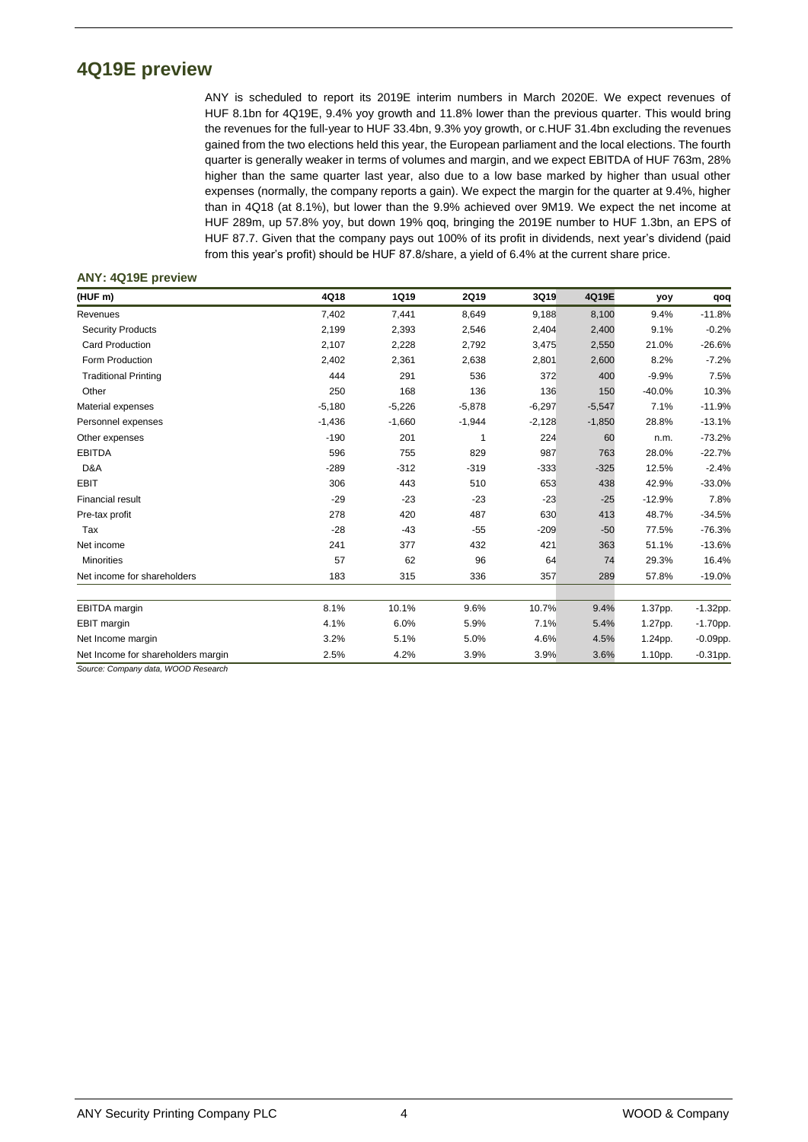## <span id="page-3-0"></span>**4Q19E preview**

ANY is scheduled to report its 2019E interim numbers in March 2020E. We expect revenues of HUF 8.1bn for 4Q19E, 9.4% yoy growth and 11.8% lower than the previous quarter. This would bring the revenues for the full-year to HUF 33.4bn, 9.3% yoy growth, or c.HUF 31.4bn excluding the revenues gained from the two elections held this year, the European parliament and the local elections. The fourth quarter is generally weaker in terms of volumes and margin, and we expect EBITDA of HUF 763m, 28% higher than the same quarter last year, also due to a low base marked by higher than usual other expenses (normally, the company reports a gain). We expect the margin for the quarter at 9.4%, higher than in 4Q18 (at 8.1%), but lower than the 9.9% achieved over 9M19. We expect the net income at HUF 289m, up 57.8% yoy, but down 19% qoq, bringing the 2019E number to HUF 1.3bn, an EPS of HUF 87.7. Given that the company pays out 100% of its profit in dividends, next year's dividend (paid from this year's profit) should be HUF 87.8/share, a yield of 6.4% at the current share price.

### **ANY: 4Q19E preview**

| (HUF m)                            | 4Q18     | <b>1Q19</b> | 2Q19     | 3Q19     | 4Q19E    | yoy      | qoq         |
|------------------------------------|----------|-------------|----------|----------|----------|----------|-------------|
| Revenues                           | 7,402    | 7,441       | 8,649    | 9,188    | 8,100    | 9.4%     | $-11.8%$    |
| <b>Security Products</b>           | 2,199    | 2,393       | 2,546    | 2,404    | 2,400    | 9.1%     | $-0.2%$     |
| Card Production                    | 2,107    | 2,228       | 2,792    | 3,475    | 2,550    | 21.0%    | $-26.6%$    |
| Form Production                    | 2,402    | 2,361       | 2,638    | 2,801    | 2,600    | 8.2%     | $-7.2%$     |
| <b>Traditional Printing</b>        | 444      | 291         | 536      | 372      | 400      | $-9.9%$  | 7.5%        |
| Other                              | 250      | 168         | 136      | 136      | 150      | $-40.0%$ | 10.3%       |
| Material expenses                  | $-5,180$ | $-5,226$    | $-5,878$ | $-6,297$ | $-5,547$ | 7.1%     | $-11.9%$    |
| Personnel expenses                 | $-1,436$ | $-1,660$    | $-1,944$ | $-2,128$ | $-1,850$ | 28.8%    | $-13.1%$    |
| Other expenses                     | $-190$   | 201         | 1        | 224      | 60       | n.m.     | $-73.2%$    |
| <b>EBITDA</b>                      | 596      | 755         | 829      | 987      | 763      | 28.0%    | $-22.7%$    |
| D&A                                | $-289$   | $-312$      | $-319$   | $-333$   | $-325$   | 12.5%    | $-2.4%$     |
| <b>EBIT</b>                        | 306      | 443         | 510      | 653      | 438      | 42.9%    | $-33.0%$    |
| <b>Financial result</b>            | $-29$    | $-23$       | $-23$    | $-23$    | $-25$    | $-12.9%$ | 7.8%        |
| Pre-tax profit                     | 278      | 420         | 487      | 630      | 413      | 48.7%    | $-34.5%$    |
| Tax                                | $-28$    | $-43$       | $-55$    | $-209$   | $-50$    | 77.5%    | $-76.3%$    |
| Net income                         | 241      | 377         | 432      | 421      | 363      | 51.1%    | $-13.6%$    |
| <b>Minorities</b>                  | 57       | 62          | 96       | 64       | 74       | 29.3%    | 16.4%       |
| Net income for shareholders        | 183      | 315         | 336      | 357      | 289      | 57.8%    | $-19.0%$    |
| EBITDA margin                      | 8.1%     | 10.1%       | 9.6%     | 10.7%    | 9.4%     | 1.37pp.  | $-1.32$ pp. |
| EBIT margin                        | 4.1%     | 6.0%        | 5.9%     | 7.1%     | 5.4%     | 1.27pp.  | $-1.70$ pp. |
| Net Income margin                  | 3.2%     | 5.1%        | 5.0%     | 4.6%     | 4.5%     | 1.24pp.  | $-0.09$ pp. |
| Net Income for shareholders margin | 2.5%     | 4.2%        | 3.9%     | 3.9%     | 3.6%     | 1.10pp.  | $-0.31$ pp. |

*Source: Company data, WOOD Research*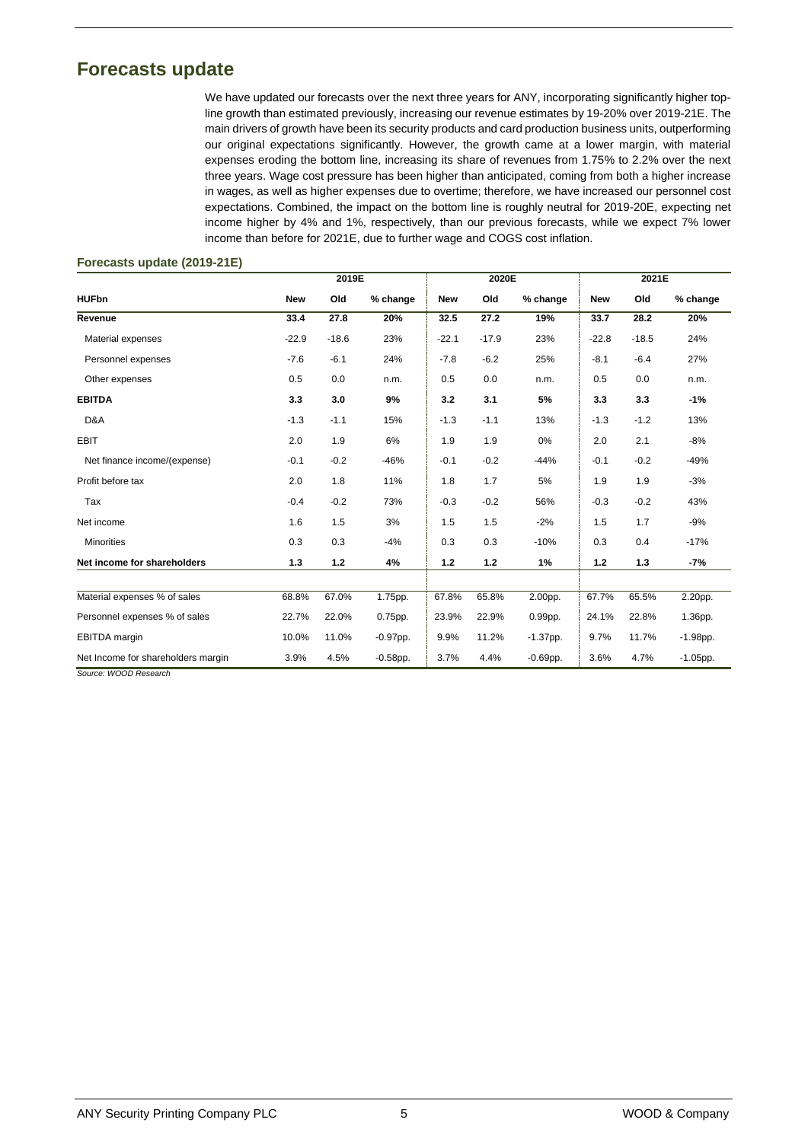# <span id="page-4-0"></span>**Forecasts update**

We have updated our forecasts over the next three years for ANY, incorporating significantly higher topline growth than estimated previously, increasing our revenue estimates by 19-20% over 2019-21E. The main drivers of growth have been its security products and card production business units, outperforming our original expectations significantly. However, the growth came at a lower margin, with material expenses eroding the bottom line, increasing its share of revenues from 1.75% to 2.2% over the next three years. Wage cost pressure has been higher than anticipated, coming from both a higher increase in wages, as well as higher expenses due to overtime; therefore, we have increased our personnel cost expectations. Combined, the impact on the bottom line is roughly neutral for 2019-20E, expecting net income higher by 4% and 1%, respectively, than our previous forecasts, while we expect 7% lower income than before for 2021E, due to further wage and COGS cost inflation.

### **Forecasts update (2019-21E)**

|                                    |            | 2019E   |             | 2020E      |         | 2021E       |            |         |             |
|------------------------------------|------------|---------|-------------|------------|---------|-------------|------------|---------|-------------|
| <b>HUFbn</b>                       | <b>New</b> | Old     | % change    | <b>New</b> | Old     | % change    | <b>New</b> | Old     | % change    |
| Revenue                            | 33.4       | 27.8    | 20%         | 32.5       | 27.2    | 19%         | 33.7       | 28.2    | 20%         |
| Material expenses                  | $-22.9$    | $-18.6$ | 23%         | $-22.1$    | $-17.9$ | 23%         | $-22.8$    | $-18.5$ | 24%         |
| Personnel expenses                 | $-7.6$     | $-6.1$  | 24%         | $-7.8$     | $-6.2$  | 25%         | $-8.1$     | $-6.4$  | 27%         |
| Other expenses                     | 0.5        | 0.0     | n.m.        | 0.5        | 0.0     | n.m.        | 0.5        | 0.0     | n.m.        |
| <b>EBITDA</b>                      | 3.3        | 3.0     | 9%          | 3.2        | 3.1     | 5%          | 3.3        | 3.3     | $-1%$       |
| D&A                                | $-1.3$     | $-1.1$  | 15%         | $-1.3$     | $-1.1$  | 13%         | $-1.3$     | $-1.2$  | 13%         |
| <b>EBIT</b>                        | 2.0        | 1.9     | 6%          | 1.9        | 1.9     | 0%          | 2.0        | 2.1     | $-8%$       |
| Net finance income/(expense)       | $-0.1$     | $-0.2$  | $-46%$      | $-0.1$     | $-0.2$  | $-44%$      | $-0.1$     | $-0.2$  | $-49%$      |
| Profit before tax                  | 2.0        | 1.8     | 11%         | 1.8        | 1.7     | 5%          | 1.9        | 1.9     | $-3%$       |
| Tax                                | $-0.4$     | $-0.2$  | 73%         | $-0.3$     | $-0.2$  | 56%         | $-0.3$     | $-0.2$  | 43%         |
| Net income                         | 1.6        | 1.5     | 3%          | 1.5        | 1.5     | $-2%$       | 1.5        | 1.7     | $-9%$       |
| <b>Minorities</b>                  | 0.3        | 0.3     | $-4%$       | 0.3        | 0.3     | $-10%$      | 0.3        | 0.4     | $-17%$      |
| Net income for shareholders        | 1.3        | $1.2$   | 4%          | $1.2$      | $1.2$   | 1%          | $1.2$      | 1.3     | -7%         |
|                                    |            |         |             |            |         |             |            |         |             |
| Material expenses % of sales       | 68.8%      | 67.0%   | 1.75pp.     | 67.8%      | 65.8%   | 2.00pp.     | 67.7%      | 65.5%   | 2.20pp.     |
| Personnel expenses % of sales      | 22.7%      | 22.0%   | 0.75pp.     | 23.9%      | 22.9%   | 0.99pp.     | 24.1%      | 22.8%   | 1.36pp.     |
| <b>EBITDA</b> margin               | 10.0%      | 11.0%   | $-0.97$ pp. | 9.9%       | 11.2%   | $-1.37$ pp. | 9.7%       | 11.7%   | $-1.98$ pp. |
| Net Income for shareholders margin | 3.9%       | 4.5%    | $-0.58$ pp. | 3.7%       | 4.4%    | $-0.69$ pp. | 3.6%       | 4.7%    | $-1.05$ pp. |

*Source: WOOD Research*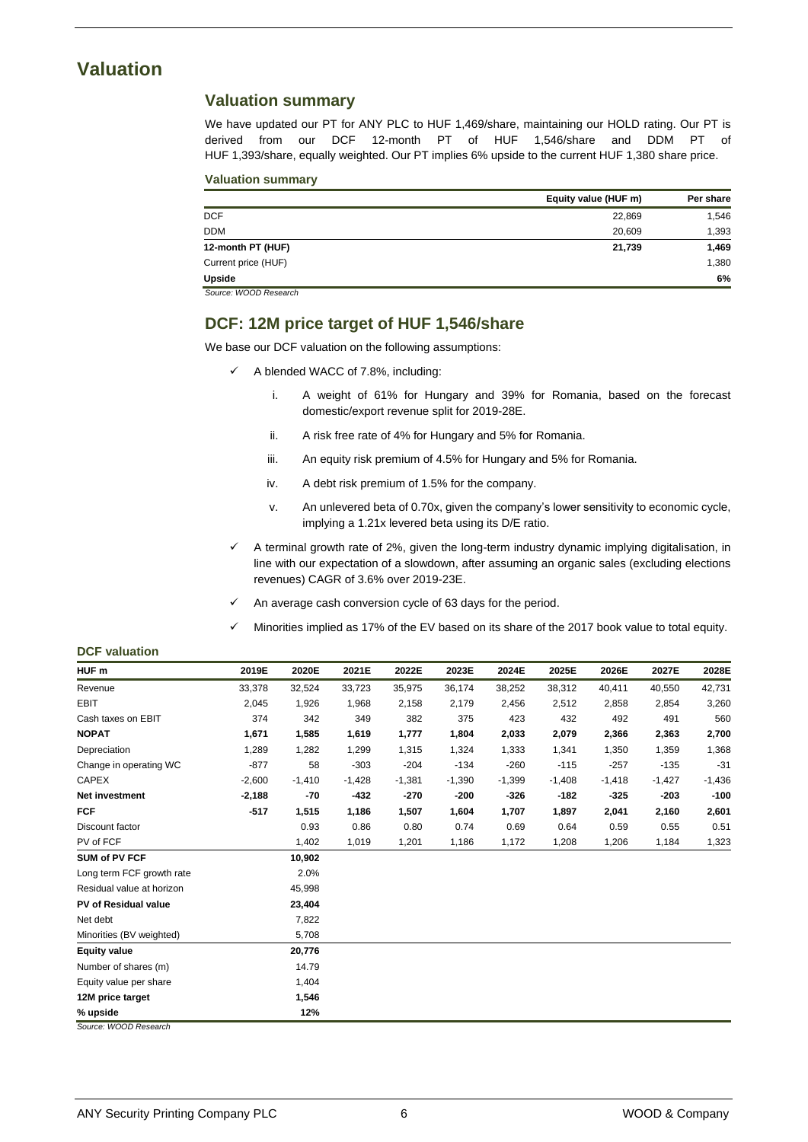## <span id="page-5-0"></span>**Valuation**

## **Valuation summary**

We have updated our PT for ANY PLC to HUF 1,469/share, maintaining our HOLD rating. Our PT is derived from our DCF 12-month PT of HUF 1,546/share and DDM PT of HUF 1,393/share, equally weighted. Our PT implies 6% upside to the current HUF 1,380 share price.

|                     | Equity value (HUF m) | Per share |
|---------------------|----------------------|-----------|
| <b>DCF</b>          | 22,869               | 1,546     |
| <b>DDM</b>          | 20.609               | 1,393     |
| 12-month PT (HUF)   | 21,739               | 1,469     |
| Current price (HUF) |                      | 1,380     |
| <b>Upside</b>       |                      | 6%        |
|                     |                      |           |

*Source: WOOD Research*

## **DCF: 12M price target of HUF 1,546/share**

We base our DCF valuation on the following assumptions:

- $\checkmark$  A blended WACC of 7.8%, including:
	- i. A weight of 61% for Hungary and 39% for Romania, based on the forecast domestic/export revenue split for 2019-28E.
	- ii. A risk free rate of 4% for Hungary and 5% for Romania.
	- iii. An equity risk premium of 4.5% for Hungary and 5% for Romania.
	- iv. A debt risk premium of 1.5% for the company.
	- v. An unlevered beta of 0.70x, given the company's lower sensitivity to economic cycle, implying a 1.21x levered beta using its D/E ratio.
- $\checkmark$  A terminal growth rate of 2%, given the long-term industry dynamic implying digitalisation, in line with our expectation of a slowdown, after assuming an organic sales (excluding elections revenues) CAGR of 3.6% over 2019-23E.
- $\checkmark$  An average cash conversion cycle of 63 days for the period.
- $\checkmark$  Minorities implied as 17% of the EV based on its share of the 2017 book value to total equity.

| HUF <sub>m</sub>            | 2019E    | 2020E    | 2021E    | 2022E    | 2023E    | 2024E    | 2025E    | 2026E    | 2027E    | 2028E    |
|-----------------------------|----------|----------|----------|----------|----------|----------|----------|----------|----------|----------|
| Revenue                     | 33,378   | 32,524   | 33,723   | 35,975   | 36,174   | 38,252   | 38,312   | 40,411   | 40,550   | 42,731   |
| <b>EBIT</b>                 | 2,045    | 1,926    | 1,968    | 2,158    | 2,179    | 2,456    | 2,512    | 2,858    | 2,854    | 3,260    |
| Cash taxes on EBIT          | 374      | 342      | 349      | 382      | 375      | 423      | 432      | 492      | 491      | 560      |
| <b>NOPAT</b>                | 1,671    | 1,585    | 1,619    | 1,777    | 1,804    | 2,033    | 2,079    | 2,366    | 2,363    | 2,700    |
| Depreciation                | 1,289    | 1,282    | 1,299    | 1,315    | 1,324    | 1,333    | 1,341    | 1,350    | 1,359    | 1,368    |
| Change in operating WC      | $-877$   | 58       | $-303$   | $-204$   | $-134$   | $-260$   | $-115$   | $-257$   | $-135$   | $-31$    |
| <b>CAPEX</b>                | $-2,600$ | $-1,410$ | $-1,428$ | $-1,381$ | $-1,390$ | $-1,399$ | $-1,408$ | $-1,418$ | $-1,427$ | $-1,436$ |
| <b>Net investment</b>       | $-2,188$ | $-70$    | $-432$   | $-270$   | $-200$   | $-326$   | $-182$   | $-325$   | $-203$   | $-100$   |
| <b>FCF</b>                  | $-517$   | 1,515    | 1,186    | 1,507    | 1,604    | 1,707    | 1,897    | 2,041    | 2,160    | 2,601    |
| Discount factor             |          | 0.93     | 0.86     | 0.80     | 0.74     | 0.69     | 0.64     | 0.59     | 0.55     | 0.51     |
| PV of FCF                   |          | 1,402    | 1,019    | 1,201    | 1,186    | 1,172    | 1,208    | 1,206    | 1,184    | 1,323    |
| <b>SUM of PV FCF</b>        |          | 10,902   |          |          |          |          |          |          |          |          |
| Long term FCF growth rate   |          | 2.0%     |          |          |          |          |          |          |          |          |
| Residual value at horizon   |          | 45,998   |          |          |          |          |          |          |          |          |
| <b>PV of Residual value</b> |          | 23,404   |          |          |          |          |          |          |          |          |
| Net debt                    |          | 7,822    |          |          |          |          |          |          |          |          |
| Minorities (BV weighted)    |          | 5,708    |          |          |          |          |          |          |          |          |
| <b>Equity value</b>         |          | 20,776   |          |          |          |          |          |          |          |          |
| Number of shares (m)        |          | 14.79    |          |          |          |          |          |          |          |          |
| Equity value per share      |          | 1,404    |          |          |          |          |          |          |          |          |
| 12M price target            |          | 1,546    |          |          |          |          |          |          |          |          |
| % upside                    |          | 12%      |          |          |          |          |          |          |          |          |
| Source: WOOD Research       |          |          |          |          |          |          |          |          |          |          |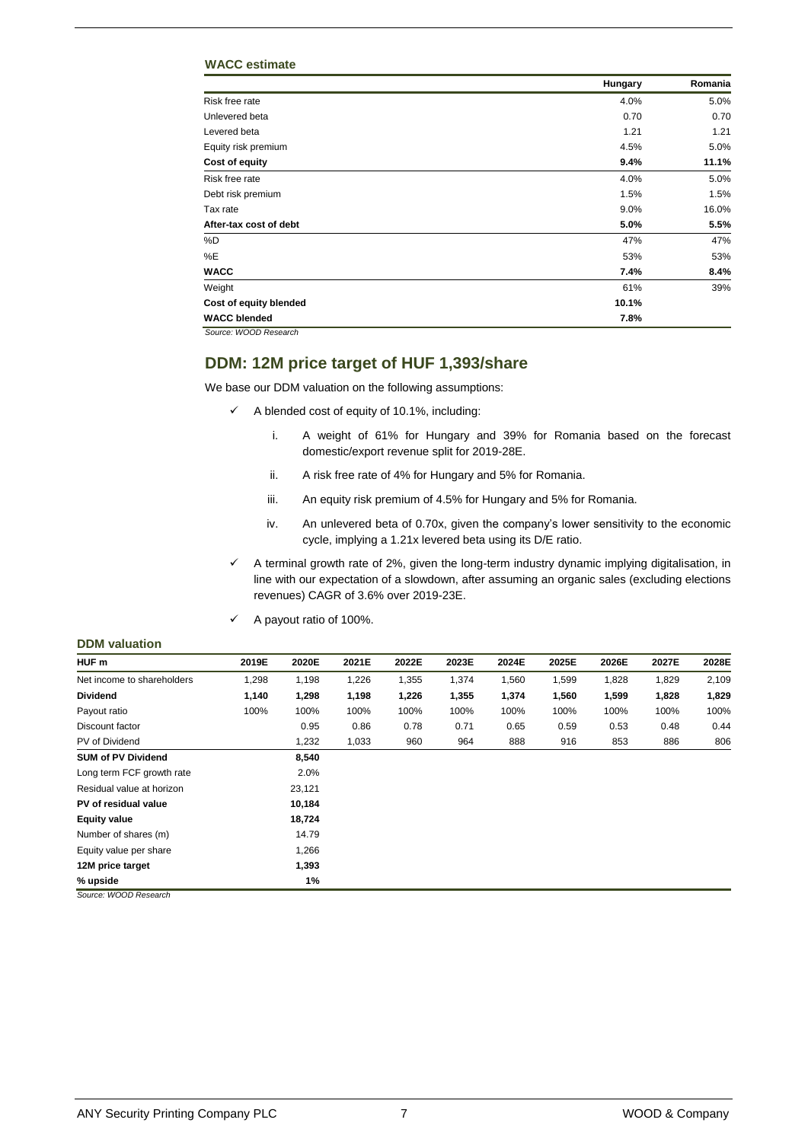### **WACC estimate**

|                        | Hungary | Romania |
|------------------------|---------|---------|
| Risk free rate         | 4.0%    | 5.0%    |
| Unlevered beta         | 0.70    | 0.70    |
| Levered beta           | 1.21    | 1.21    |
| Equity risk premium    | 4.5%    | 5.0%    |
| Cost of equity         | 9.4%    | 11.1%   |
| Risk free rate         | 4.0%    | 5.0%    |
| Debt risk premium      | 1.5%    | 1.5%    |
| Tax rate               | 9.0%    | 16.0%   |
| After-tax cost of debt | 5.0%    | 5.5%    |
| %D                     | 47%     | 47%     |
| %E                     | 53%     | 53%     |
| <b>WACC</b>            | 7.4%    | 8.4%    |
| Weight                 | 61%     | 39%     |
| Cost of equity blended | 10.1%   |         |
| <b>WACC blended</b>    | 7.8%    |         |

*Source: WOOD Research*

### **DDM: 12M price target of HUF 1,393/share**

We base our DDM valuation on the following assumptions:

- $\checkmark$  A blended cost of equity of 10.1%, including:
	- i. A weight of 61% for Hungary and 39% for Romania based on the forecast domestic/export revenue split for 2019-28E.
	- ii. A risk free rate of 4% for Hungary and 5% for Romania.
	- iii. An equity risk premium of 4.5% for Hungary and 5% for Romania.
	- iv. An unlevered beta of 0.70x, given the company's lower sensitivity to the economic cycle, implying a 1.21x levered beta using its D/E ratio.
- $\checkmark$  A terminal growth rate of 2%, given the long-term industry dynamic implying digitalisation, in line with our expectation of a slowdown, after assuming an organic sales (excluding elections revenues) CAGR of 3.6% over 2019-23E.
- $\checkmark$  A payout ratio of 100%.

### **DDM valuation**

| HUF m                      | 2019E | 2020E  | 2021E | 2022E | 2023E | 2024E | 2025E | 2026E | 2027E | 2028E |
|----------------------------|-------|--------|-------|-------|-------|-------|-------|-------|-------|-------|
| Net income to shareholders | 1,298 | 1,198  | 1,226 | 1,355 | 1,374 | 1,560 | 1,599 | 1,828 | 1,829 | 2,109 |
| <b>Dividend</b>            | 1,140 | 1,298  | 1,198 | 1,226 | 1,355 | 1,374 | 1,560 | 1,599 | 1,828 | 1,829 |
| Payout ratio               | 100%  | 100%   | 100%  | 100%  | 100%  | 100%  | 100%  | 100%  | 100%  | 100%  |
| Discount factor            |       | 0.95   | 0.86  | 0.78  | 0.71  | 0.65  | 0.59  | 0.53  | 0.48  | 0.44  |
| PV of Dividend             |       | 1,232  | 1,033 | 960   | 964   | 888   | 916   | 853   | 886   | 806   |
| <b>SUM of PV Dividend</b>  |       | 8,540  |       |       |       |       |       |       |       |       |
| Long term FCF growth rate  |       | 2.0%   |       |       |       |       |       |       |       |       |
| Residual value at horizon  |       | 23,121 |       |       |       |       |       |       |       |       |
| PV of residual value       |       | 10,184 |       |       |       |       |       |       |       |       |
| <b>Equity value</b>        |       | 18,724 |       |       |       |       |       |       |       |       |
| Number of shares (m)       |       | 14.79  |       |       |       |       |       |       |       |       |
| Equity value per share     |       | 1,266  |       |       |       |       |       |       |       |       |
| 12M price target           |       | 1,393  |       |       |       |       |       |       |       |       |
| % upside                   |       | 1%     |       |       |       |       |       |       |       |       |

*Source: WOOD Research*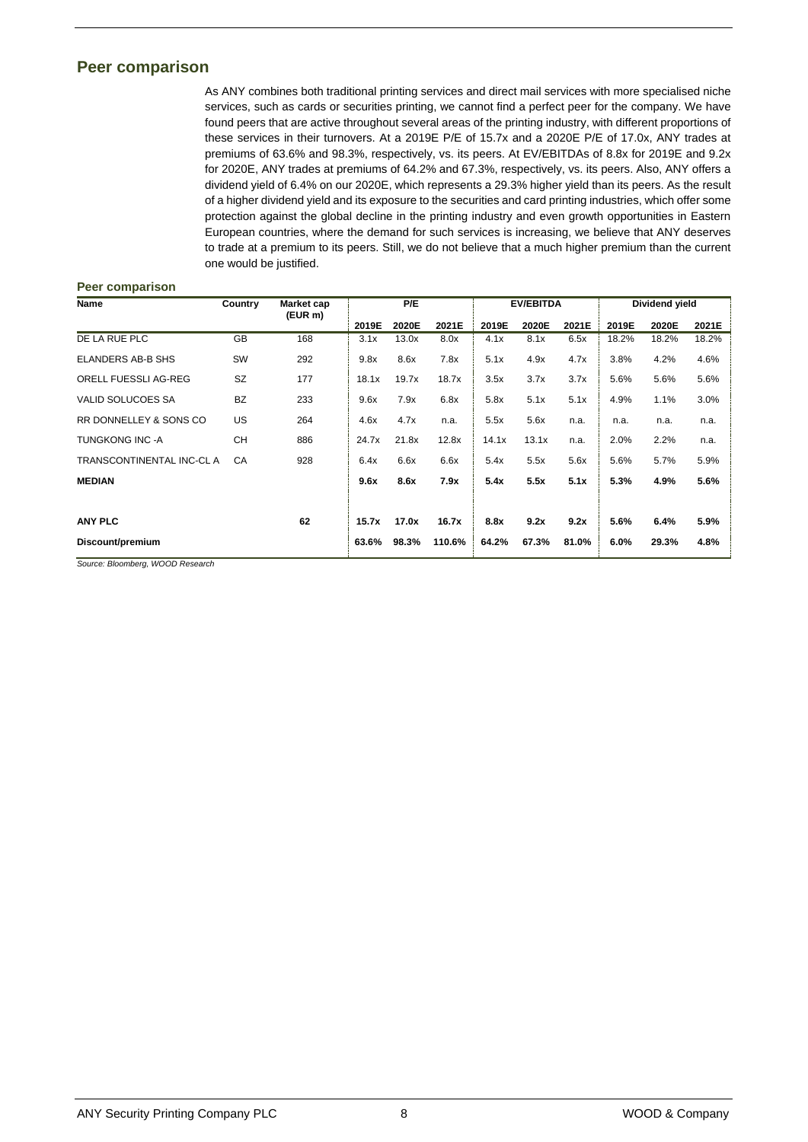### **Peer comparison**

As ANY combines both traditional printing services and direct mail services with more specialised niche services, such as cards or securities printing, we cannot find a perfect peer for the company. We have found peers that are active throughout several areas of the printing industry, with different proportions of these services in their turnovers. At a 2019E P/E of 15.7x and a 2020E P/E of 17.0x, ANY trades at premiums of 63.6% and 98.3%, respectively, vs. its peers. At EV/EBITDAs of 8.8x for 2019E and 9.2x for 2020E, ANY trades at premiums of 64.2% and 67.3%, respectively, vs. its peers. Also, ANY offers a dividend yield of 6.4% on our 2020E, which represents a 29.3% higher yield than its peers. As the result of a higher dividend yield and its exposure to the securities and card printing industries, which offer some protection against the global decline in the printing industry and even growth opportunities in Eastern European countries, where the demand for such services is increasing, we believe that ANY deserves to trade at a premium to its peers. Still, we do not believe that a much higher premium than the current one would be justified.

### **Peer comparison**

| Name                      | Country   | Market cap<br>(EUR m) |       | P/E   |        |       | <b>EV/EBITDA</b> |       |       | Dividend yield |       |
|---------------------------|-----------|-----------------------|-------|-------|--------|-------|------------------|-------|-------|----------------|-------|
|                           |           |                       | 2019E | 2020E | 2021E  | 2019E | 2020E            | 2021E | 2019E | 2020E          | 2021E |
| DE LA RUE PLC             | <b>GB</b> | 168                   | 3.1x  | 13.0x | 8.0x   | 4.1x  | 8.1x             | 6.5x  | 18.2% | 18.2%          | 18.2% |
| <b>ELANDERS AB-B SHS</b>  | SW        | 292                   | 9.8x  | 8.6x  | 7.8x   | 5.1x  | 4.9x             | 4.7x  | 3.8%  | 4.2%           | 4.6%  |
| ORELL FUESSLI AG-REG      | <b>SZ</b> | 177                   | 18.1x | 19.7x | 18.7x  | 3.5x  | 3.7x             | 3.7x  | 5.6%  | 5.6%           | 5.6%  |
| <b>VALID SOLUCOES SA</b>  | <b>BZ</b> | 233                   | 9.6x  | 7.9x  | 6.8x   | 5.8x  | 5.1x             | 5.1x  | 4.9%  | 1.1%           | 3.0%  |
| RR DONNELLEY & SONS CO    | US        | 264                   | 4.6x  | 4.7x  | n.a.   | 5.5x  | 5.6x             | n.a.  | n.a.  | n.a.           | n.a.  |
| <b>TUNGKONG INC -A</b>    | CН        | 886                   | 24.7x | 21.8x | 12.8x  | 14.1x | 13.1x            | n.a.  | 2.0%  | 2.2%           | n.a.  |
| TRANSCONTINENTAL INC-CL A | CA        | 928                   | 6.4x  | 6.6x  | 6.6x   | 5.4x  | 5.5x             | 5.6x  | 5.6%  | 5.7%           | 5.9%  |
| <b>MEDIAN</b>             |           |                       | 9.6x  | 8.6x  | 7.9x   | 5.4x  | 5.5x             | 5.1x  | 5.3%  | 4.9%           | 5.6%  |
|                           |           |                       |       |       |        |       |                  |       |       |                |       |
| <b>ANY PLC</b>            |           | 62                    | 15.7x | 17.0x | 16.7x  | 8.8x  | 9.2x             | 9.2x  | 5.6%  | 6.4%           | 5.9%  |
| Discount/premium          |           |                       | 63.6% | 98.3% | 110.6% | 64.2% | 67.3%            | 81.0% | 6.0%  | 29.3%          | 4.8%  |

*Source: Bloomberg, WOOD Research*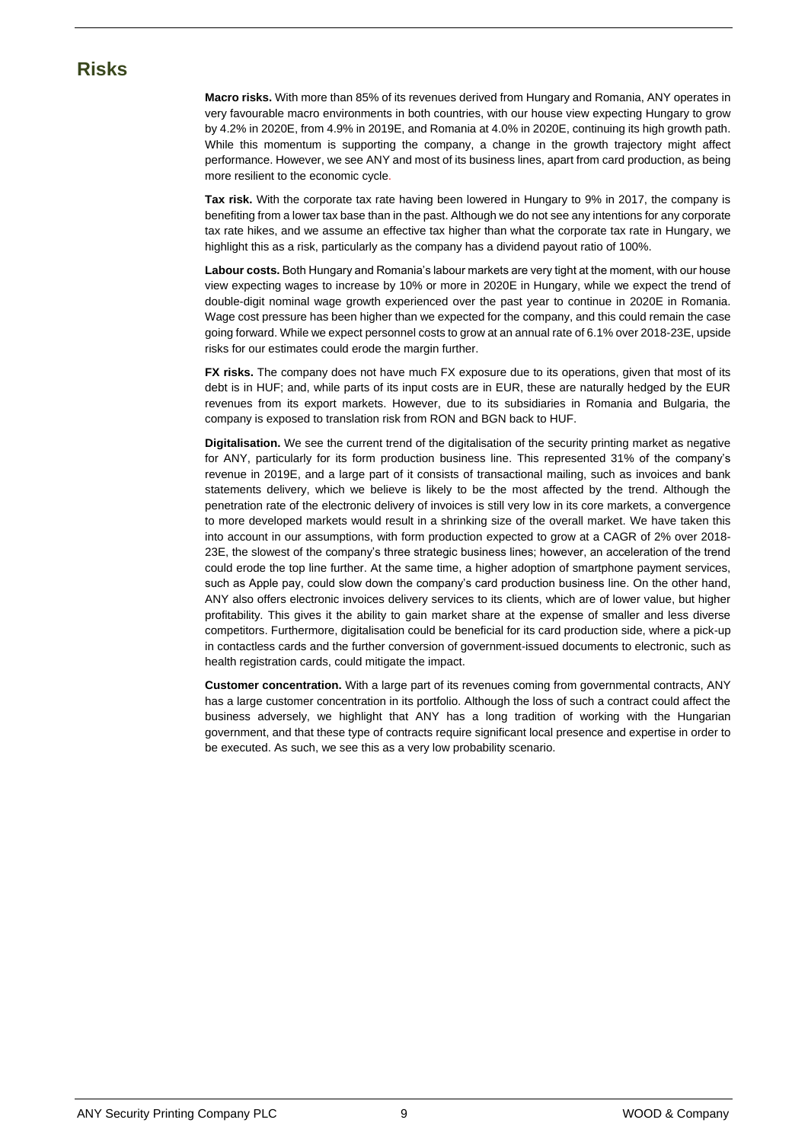# <span id="page-8-0"></span>**Risks**

**Macro risks.** With more than 85% of its revenues derived from Hungary and Romania, ANY operates in very favourable macro environments in both countries, with our house view expecting Hungary to grow by 4.2% in 2020E, from 4.9% in 2019E, and Romania at 4.0% in 2020E, continuing its high growth path. While this momentum is supporting the company, a change in the growth trajectory might affect performance. However, we see ANY and most of its business lines, apart from card production, as being more resilient to the economic cycle.

**Tax risk.** With the corporate tax rate having been lowered in Hungary to 9% in 2017, the company is benefiting from a lower tax base than in the past. Although we do not see any intentions for any corporate tax rate hikes, and we assume an effective tax higher than what the corporate tax rate in Hungary, we highlight this as a risk, particularly as the company has a dividend payout ratio of 100%.

**Labour costs.** Both Hungary and Romania's labour markets are very tight at the moment, with our house view expecting wages to increase by 10% or more in 2020E in Hungary, while we expect the trend of double-digit nominal wage growth experienced over the past year to continue in 2020E in Romania. Wage cost pressure has been higher than we expected for the company, and this could remain the case going forward. While we expect personnel costs to grow at an annual rate of 6.1% over 2018-23E, upside risks for our estimates could erode the margin further.

**FX risks.** The company does not have much FX exposure due to its operations, given that most of its debt is in HUF; and, while parts of its input costs are in EUR, these are naturally hedged by the EUR revenues from its export markets. However, due to its subsidiaries in Romania and Bulgaria, the company is exposed to translation risk from RON and BGN back to HUF.

**Digitalisation.** We see the current trend of the digitalisation of the security printing market as negative for ANY, particularly for its form production business line. This represented 31% of the company's revenue in 2019E, and a large part of it consists of transactional mailing, such as invoices and bank statements delivery, which we believe is likely to be the most affected by the trend. Although the penetration rate of the electronic delivery of invoices is still very low in its core markets, a convergence to more developed markets would result in a shrinking size of the overall market. We have taken this into account in our assumptions, with form production expected to grow at a CAGR of 2% over 2018- 23E, the slowest of the company's three strategic business lines; however, an acceleration of the trend could erode the top line further. At the same time, a higher adoption of smartphone payment services, such as Apple pay, could slow down the company's card production business line. On the other hand, ANY also offers electronic invoices delivery services to its clients, which are of lower value, but higher profitability. This gives it the ability to gain market share at the expense of smaller and less diverse competitors. Furthermore, digitalisation could be beneficial for its card production side, where a pick-up in contactless cards and the further conversion of government-issued documents to electronic, such as health registration cards, could mitigate the impact.

**Customer concentration.** With a large part of its revenues coming from governmental contracts, ANY has a large customer concentration in its portfolio. Although the loss of such a contract could affect the business adversely, we highlight that ANY has a long tradition of working with the Hungarian government, and that these type of contracts require significant local presence and expertise in order to be executed. As such, we see this as a very low probability scenario.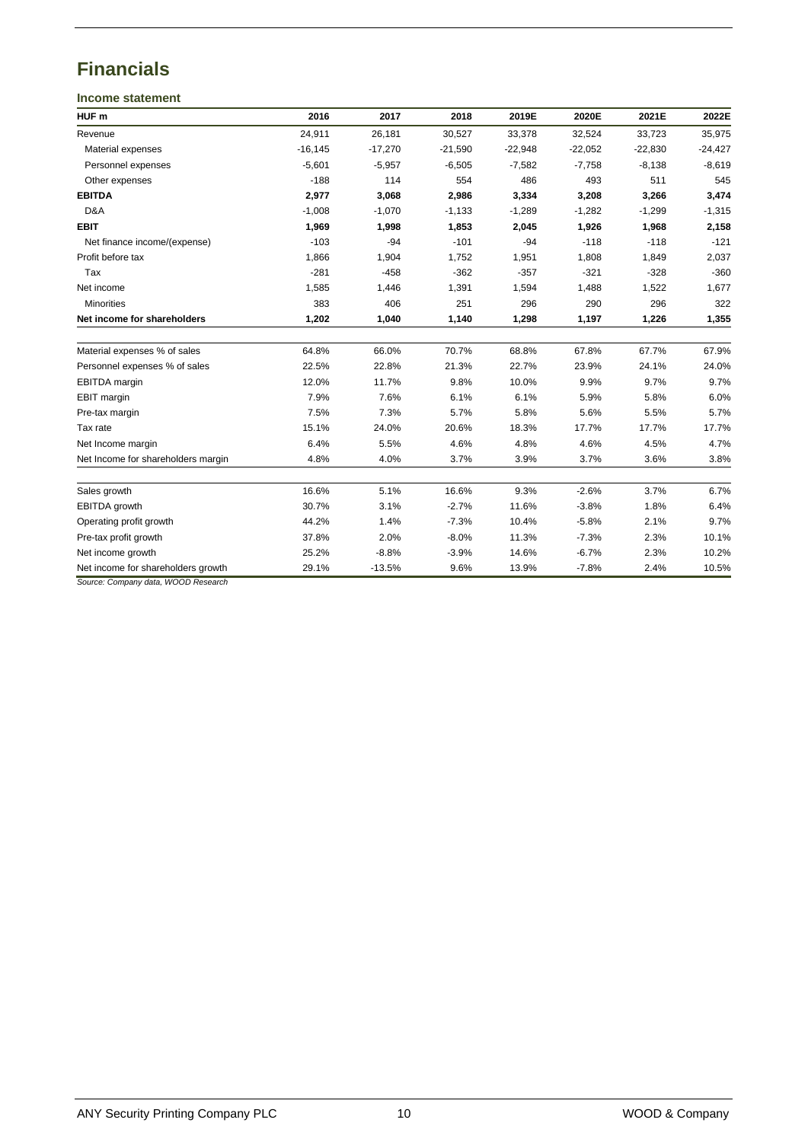# <span id="page-9-0"></span>**Financials**

### **Income statement**

| HUF m                              | 2016       | 2017      | 2018      | 2019E     | 2020E     | 2021E     | 2022E     |
|------------------------------------|------------|-----------|-----------|-----------|-----------|-----------|-----------|
| Revenue                            | 24,911     | 26,181    | 30,527    | 33,378    | 32,524    | 33,723    | 35,975    |
| Material expenses                  | $-16, 145$ | $-17,270$ | $-21,590$ | $-22,948$ | $-22,052$ | $-22,830$ | $-24,427$ |
| Personnel expenses                 | $-5,601$   | $-5,957$  | $-6,505$  | $-7,582$  | $-7,758$  | $-8,138$  | $-8,619$  |
| Other expenses                     | $-188$     | 114       | 554       | 486       | 493       | 511       | 545       |
| <b>EBITDA</b>                      | 2,977      | 3,068     | 2,986     | 3,334     | 3,208     | 3,266     | 3,474     |
| D&A                                | $-1,008$   | $-1,070$  | $-1,133$  | $-1,289$  | $-1,282$  | $-1,299$  | $-1,315$  |
| <b>EBIT</b>                        | 1,969      | 1,998     | 1,853     | 2,045     | 1,926     | 1,968     | 2,158     |
| Net finance income/(expense)       | $-103$     | $-94$     | $-101$    | $-94$     | $-118$    | $-118$    | $-121$    |
| Profit before tax                  | 1,866      | 1,904     | 1,752     | 1,951     | 1,808     | 1,849     | 2,037     |
| Tax                                | $-281$     | $-458$    | $-362$    | $-357$    | $-321$    | $-328$    | $-360$    |
| Net income                         | 1,585      | 1,446     | 1,391     | 1,594     | 1,488     | 1,522     | 1,677     |
| <b>Minorities</b>                  | 383        | 406       | 251       | 296       | 290       | 296       | 322       |
| Net income for shareholders        | 1,202      | 1,040     | 1,140     | 1,298     | 1,197     | 1,226     | 1,355     |
| Material expenses % of sales       | 64.8%      | 66.0%     | 70.7%     | 68.8%     | 67.8%     | 67.7%     | 67.9%     |
| Personnel expenses % of sales      | 22.5%      | 22.8%     | 21.3%     | 22.7%     | 23.9%     | 24.1%     | 24.0%     |
| <b>EBITDA</b> margin               | 12.0%      | 11.7%     | 9.8%      | 10.0%     | 9.9%      | 9.7%      | 9.7%      |
| EBIT margin                        | 7.9%       | 7.6%      | 6.1%      | 6.1%      | 5.9%      | 5.8%      | 6.0%      |
| Pre-tax margin                     | 7.5%       | 7.3%      | 5.7%      | 5.8%      | 5.6%      | 5.5%      | 5.7%      |
| Tax rate                           | 15.1%      | 24.0%     | 20.6%     | 18.3%     | 17.7%     | 17.7%     | 17.7%     |
| Net Income margin                  | 6.4%       | 5.5%      | 4.6%      | 4.8%      | 4.6%      | 4.5%      | 4.7%      |
| Net Income for shareholders margin | 4.8%       | 4.0%      | 3.7%      | 3.9%      | 3.7%      | 3.6%      | 3.8%      |
| Sales growth                       | 16.6%      | 5.1%      | 16.6%     | 9.3%      | $-2.6%$   | 3.7%      | 6.7%      |
| EBITDA growth                      | 30.7%      | 3.1%      | $-2.7%$   | 11.6%     | $-3.8%$   | 1.8%      | 6.4%      |
| Operating profit growth            | 44.2%      | 1.4%      | $-7.3%$   | 10.4%     | $-5.8%$   | 2.1%      | 9.7%      |
| Pre-tax profit growth              | 37.8%      | 2.0%      | $-8.0%$   | 11.3%     | $-7.3%$   | 2.3%      | 10.1%     |
| Net income growth                  | 25.2%      | $-8.8%$   | $-3.9%$   | 14.6%     | $-6.7%$   | 2.3%      | 10.2%     |
| Net income for shareholders growth | 29.1%      | $-13.5%$  | 9.6%      | 13.9%     | $-7.8%$   | 2.4%      | 10.5%     |

*Source: Company data, WOOD Research*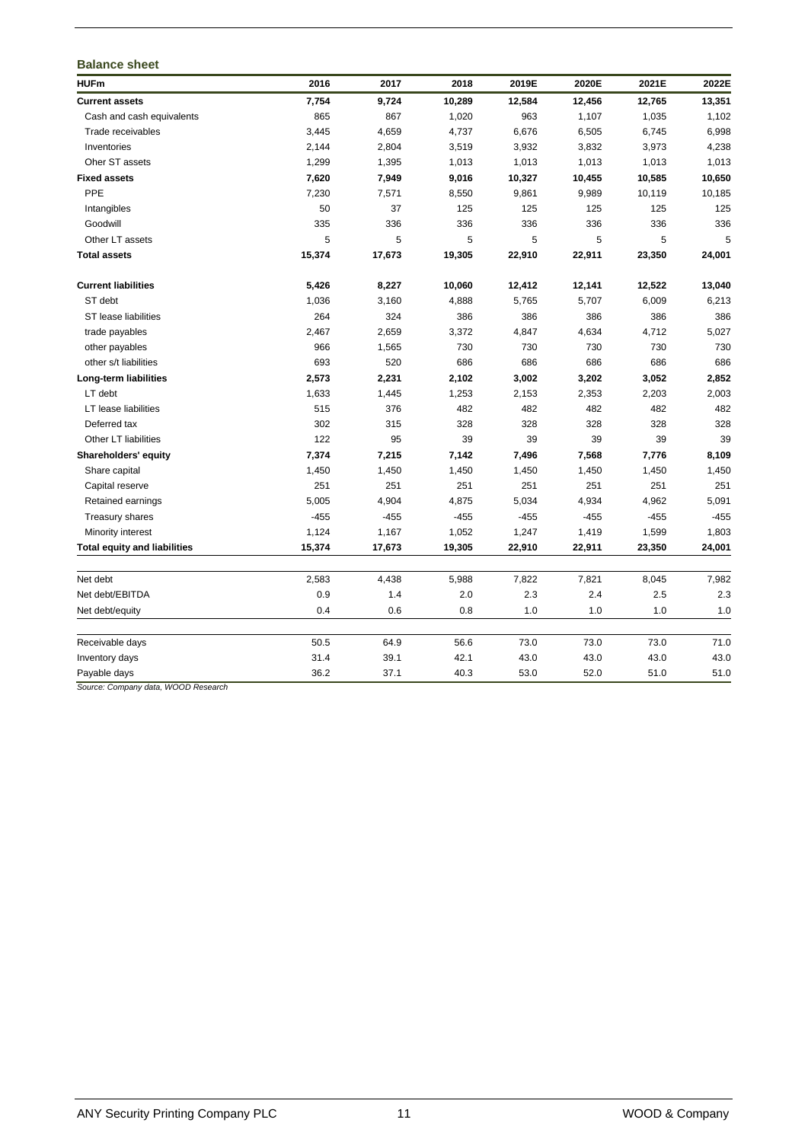### **Balance sheet**

| <b>HUFm</b>                         | 2016   | 2017   | 2018   | 2019E  | 2020E  | 2021E  | 2022E  |
|-------------------------------------|--------|--------|--------|--------|--------|--------|--------|
| <b>Current assets</b>               | 7,754  | 9,724  | 10,289 | 12,584 | 12,456 | 12,765 | 13,351 |
| Cash and cash equivalents           | 865    | 867    | 1,020  | 963    | 1,107  | 1,035  | 1,102  |
| Trade receivables                   | 3,445  | 4,659  | 4,737  | 6,676  | 6,505  | 6,745  | 6,998  |
| Inventories                         | 2,144  | 2,804  | 3,519  | 3,932  | 3,832  | 3,973  | 4,238  |
| Oher ST assets                      | 1,299  | 1,395  | 1,013  | 1,013  | 1,013  | 1,013  | 1,013  |
| <b>Fixed assets</b>                 | 7,620  | 7,949  | 9,016  | 10,327 | 10,455 | 10,585 | 10,650 |
| PPE                                 | 7,230  | 7,571  | 8,550  | 9,861  | 9,989  | 10,119 | 10,185 |
| Intangibles                         | 50     | 37     | 125    | 125    | 125    | 125    | 125    |
| Goodwill                            | 335    | 336    | 336    | 336    | 336    | 336    | 336    |
| Other LT assets                     | 5      | 5      | 5      | 5      | 5      | 5      | 5      |
| <b>Total assets</b>                 | 15,374 | 17,673 | 19,305 | 22,910 | 22,911 | 23,350 | 24,001 |
| <b>Current liabilities</b>          | 5,426  | 8,227  | 10,060 | 12,412 | 12,141 | 12,522 | 13,040 |
| ST debt                             | 1,036  | 3,160  | 4,888  | 5,765  | 5,707  | 6,009  | 6,213  |
| ST lease liabilities                | 264    | 324    | 386    | 386    | 386    | 386    | 386    |
| trade payables                      | 2,467  | 2,659  | 3,372  | 4,847  | 4,634  | 4,712  | 5,027  |
| other payables                      | 966    | 1,565  | 730    | 730    | 730    | 730    | 730    |
| other s/t liabilities               | 693    | 520    | 686    | 686    | 686    | 686    | 686    |
| Long-term liabilities               | 2,573  | 2,231  | 2,102  | 3,002  | 3,202  | 3,052  | 2,852  |
| LT debt                             | 1,633  | 1,445  | 1,253  | 2,153  | 2,353  | 2,203  | 2,003  |
| LT lease liabilities                | 515    | 376    | 482    | 482    | 482    | 482    | 482    |
| Deferred tax                        | 302    | 315    | 328    | 328    | 328    | 328    | 328    |
| Other LT liabilities                | 122    | 95     | 39     | 39     | 39     | 39     | 39     |
| Shareholders' equity                | 7,374  | 7,215  | 7,142  | 7,496  | 7,568  | 7,776  | 8,109  |
| Share capital                       | 1,450  | 1,450  | 1,450  | 1,450  | 1,450  | 1,450  | 1,450  |
| Capital reserve                     | 251    | 251    | 251    | 251    | 251    | 251    | 251    |
| Retained earnings                   | 5,005  | 4,904  | 4,875  | 5,034  | 4,934  | 4,962  | 5,091  |
| <b>Treasury shares</b>              | $-455$ | $-455$ | $-455$ | $-455$ | $-455$ | $-455$ | $-455$ |
| Minority interest                   | 1,124  | 1,167  | 1,052  | 1,247  | 1,419  | 1,599  | 1,803  |
| <b>Total equity and liabilities</b> | 15,374 | 17,673 | 19,305 | 22,910 | 22,911 | 23,350 | 24,001 |
| Net debt                            | 2,583  | 4,438  | 5,988  | 7,822  | 7,821  | 8,045  | 7,982  |
| Net debt/EBITDA                     | 0.9    | 1.4    | 2.0    | 2.3    | 2.4    | 2.5    | 2.3    |
| Net debt/equity                     | 0.4    | 0.6    | 0.8    | 1.0    | 1.0    | 1.0    | 1.0    |
| Receivable days                     | 50.5   | 64.9   | 56.6   | 73.0   | 73.0   | 73.0   | 71.0   |
| Inventory days                      | 31.4   | 39.1   | 42.1   | 43.0   | 43.0   | 43.0   | 43.0   |
| Payable days                        | 36.2   | 37.1   | 40.3   | 53.0   | 52.0   | 51.0   | 51.0   |

*Source: Company data, WOOD Research*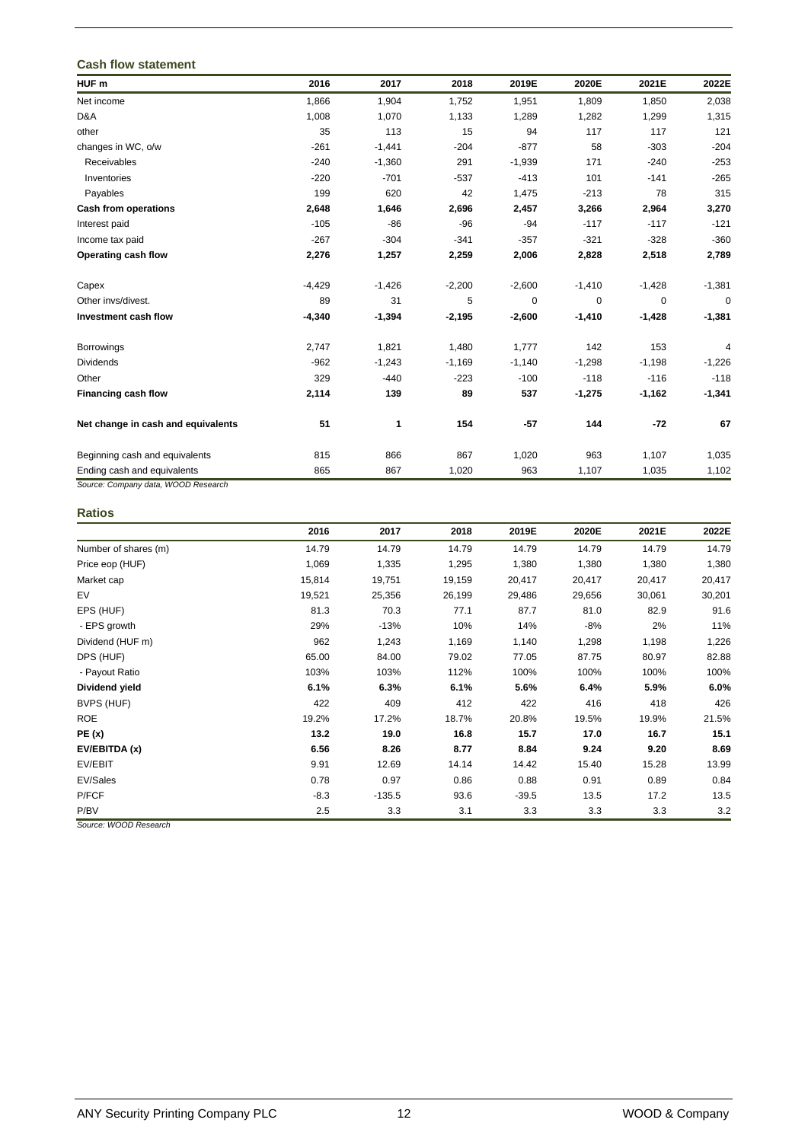### **Cash flow statement**

| HUF <sub>m</sub>                   | 2016     | 2017     | 2018     | 2019E    | 2020E    | 2021E    | 2022E    |
|------------------------------------|----------|----------|----------|----------|----------|----------|----------|
| Net income                         | 1,866    | 1,904    | 1,752    | 1,951    | 1,809    | 1,850    | 2,038    |
| D&A                                | 1,008    | 1,070    | 1,133    | 1,289    | 1,282    | 1,299    | 1,315    |
| other                              | 35       | 113      | 15       | 94       | 117      | 117      | 121      |
| changes in WC, o/w                 | $-261$   | $-1,441$ | $-204$   | $-877$   | 58       | $-303$   | $-204$   |
| Receivables                        | $-240$   | $-1,360$ | 291      | $-1,939$ | 171      | $-240$   | $-253$   |
| Inventories                        | $-220$   | $-701$   | $-537$   | $-413$   | 101      | $-141$   | $-265$   |
| Payables                           | 199      | 620      | 42       | 1,475    | $-213$   | 78       | 315      |
| Cash from operations               | 2,648    | 1,646    | 2,696    | 2,457    | 3,266    | 2,964    | 3,270    |
| Interest paid                      | $-105$   | $-86$    | $-96$    | $-94$    | $-117$   | $-117$   | $-121$   |
| Income tax paid                    | $-267$   | $-304$   | $-341$   | $-357$   | $-321$   | $-328$   | $-360$   |
| Operating cash flow                | 2,276    | 1,257    | 2,259    | 2,006    | 2,828    | 2,518    | 2,789    |
| Capex                              | $-4,429$ | $-1,426$ | $-2,200$ | $-2,600$ | $-1,410$ | $-1,428$ | $-1,381$ |
| Other invs/divest.                 | 89       | 31       | 5        | 0        | 0        | $\Omega$ | 0        |
| Investment cash flow               | $-4,340$ | $-1,394$ | $-2,195$ | $-2,600$ | $-1,410$ | $-1,428$ | $-1,381$ |
| <b>Borrowings</b>                  | 2,747    | 1,821    | 1,480    | 1,777    | 142      | 153      | 4        |
| <b>Dividends</b>                   | $-962$   | $-1,243$ | $-1,169$ | $-1,140$ | $-1,298$ | $-1,198$ | $-1,226$ |
| Other                              | 329      | $-440$   | $-223$   | $-100$   | $-118$   | $-116$   | $-118$   |
| <b>Financing cash flow</b>         | 2,114    | 139      | 89       | 537      | $-1,275$ | $-1,162$ | $-1,341$ |
| Net change in cash and equivalents | 51       | 1        | 154      | $-57$    | 144      | $-72$    | 67       |
| Beginning cash and equivalents     | 815      | 866      | 867      | 1,020    | 963      | 1,107    | 1,035    |
| Ending cash and equivalents        | 865      | 867      | 1,020    | 963      | 1,107    | 1,035    | 1,102    |

*Source: Company data, WOOD Research*

### **Ratios**

|                      | 2016   | 2017     | 2018   | 2019E   | 2020E  | 2021E  | 2022E  |
|----------------------|--------|----------|--------|---------|--------|--------|--------|
| Number of shares (m) | 14.79  | 14.79    | 14.79  | 14.79   | 14.79  | 14.79  | 14.79  |
| Price eop (HUF)      | 1,069  | 1,335    | 1,295  | 1,380   | 1,380  | 1,380  | 1,380  |
| Market cap           | 15,814 | 19,751   | 19,159 | 20,417  | 20,417 | 20,417 | 20,417 |
| EV                   | 19,521 | 25,356   | 26,199 | 29,486  | 29,656 | 30,061 | 30,201 |
| EPS (HUF)            | 81.3   | 70.3     | 77.1   | 87.7    | 81.0   | 82.9   | 91.6   |
| - EPS growth         | 29%    | $-13%$   | 10%    | 14%     | $-8%$  | 2%     | 11%    |
| Dividend (HUF m)     | 962    | 1,243    | 1,169  | 1,140   | 1,298  | 1,198  | 1,226  |
| DPS (HUF)            | 65.00  | 84.00    | 79.02  | 77.05   | 87.75  | 80.97  | 82.88  |
| - Payout Ratio       | 103%   | 103%     | 112%   | 100%    | 100%   | 100%   | 100%   |
| Dividend yield       | 6.1%   | 6.3%     | 6.1%   | 5.6%    | 6.4%   | 5.9%   | 6.0%   |
| BVPS (HUF)           | 422    | 409      | 412    | 422     | 416    | 418    | 426    |
| <b>ROE</b>           | 19.2%  | 17.2%    | 18.7%  | 20.8%   | 19.5%  | 19.9%  | 21.5%  |
| PE(x)                | 13.2   | 19.0     | 16.8   | 15.7    | 17.0   | 16.7   | 15.1   |
| EV/EBITDA (x)        | 6.56   | 8.26     | 8.77   | 8.84    | 9.24   | 9.20   | 8.69   |
| EV/EBIT              | 9.91   | 12.69    | 14.14  | 14.42   | 15.40  | 15.28  | 13.99  |
| EV/Sales             | 0.78   | 0.97     | 0.86   | 0.88    | 0.91   | 0.89   | 0.84   |
| P/FCF                | $-8.3$ | $-135.5$ | 93.6   | $-39.5$ | 13.5   | 17.2   | 13.5   |
| P/BV                 | 2.5    | 3.3      | 3.1    | 3.3     | 3.3    | 3.3    | 3.2    |

*Source: WOOD Research*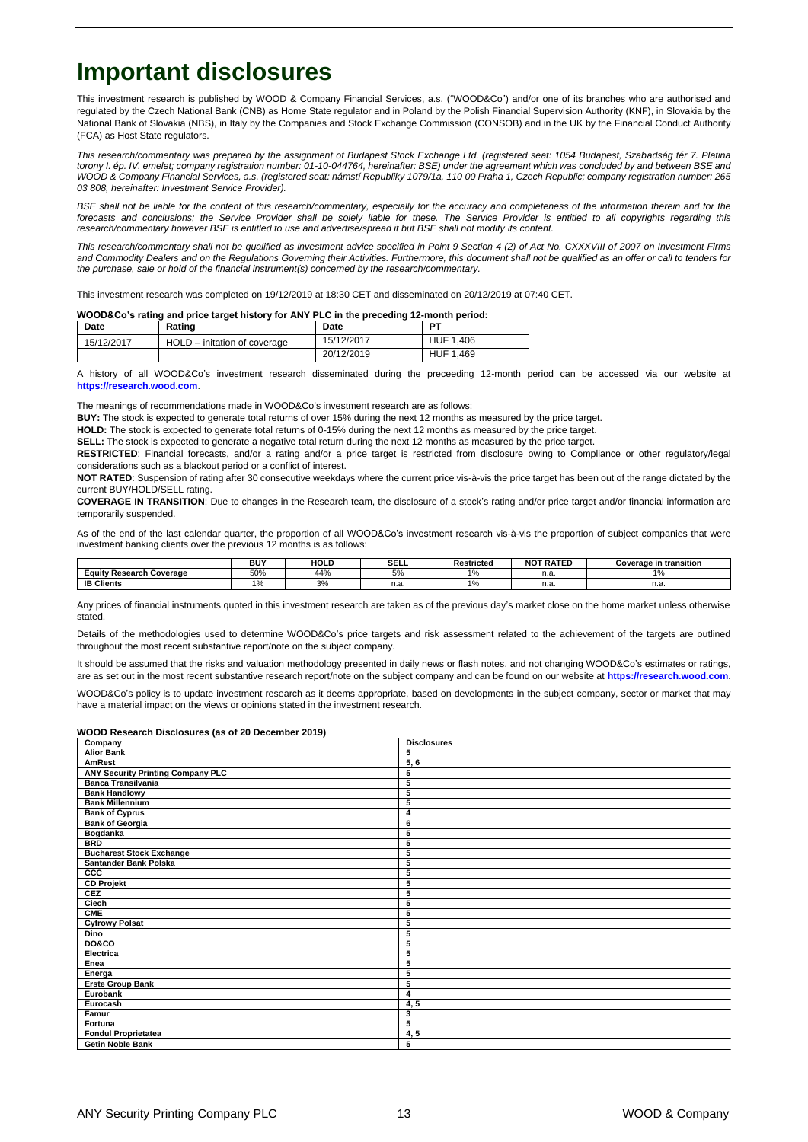# **Important disclosures**

This investment research is published by WOOD & Company Financial Services, a.s. ("WOOD&Co") and/or one of its branches who are authorised and regulated by the Czech National Bank (CNB) as Home State regulator and in Poland by the Polish Financial Supervision Authority (KNF), in Slovakia by the National Bank of Slovakia (NBS), in Italy by the Companies and Stock Exchange Commission (CONSOB) and in the UK by the Financial Conduct Authority (FCA) as Host State regulators.

*This research/commentary was prepared by the assignment of Budapest Stock Exchange Ltd. (registered seat: 1054 Budapest, Szabadság tér 7. Platina torony I. ép. IV. emelet; company registration number: 01-10-044764, hereinafter: BSE) under the agreement which was concluded by and between BSE and WOOD & Company Financial Services, a.s. (registered seat: námstí Republiky 1079/1a, 110 00 Praha 1, Czech Republic; company registration number: 265 03 808, hereinafter: Investment Service Provider).*

*BSE shall not be liable for the content of this research/commentary, especially for the accuracy and completeness of the information therein and for the forecasts and conclusions; the Service Provider shall be solely liable for these. The Service Provider is entitled to all copyrights regarding this*  research/commentary however BSE is entitled to use and advertise/spread it but BSE shall not modify its content.

*This research/commentary shall not be qualified as investment advice specified in Point 9 Section 4 (2) of Act No. CXXXVIII of 2007 on Investment Firms and Commodity Dealers and on the Regulations Governing their Activities. Furthermore, this document shall not be qualified as an offer or call to tenders for the purchase, sale or hold of the financial instrument(s) concerned by the research/commentary.*

This investment research was completed on 19/12/2019 at 18:30 CET and disseminated on 20/12/2019 at 07:40 CET.

### **WOOD&Co's rating and price target history for ANY PLC in the preceding 12-month period:**

| Date       | Rating                       | Date       | DТ               |
|------------|------------------------------|------------|------------------|
| 15/12/2017 | HOLD - initation of coverage | 15/12/2017 | <b>HUF 1.406</b> |
|            |                              | 20/12/2019 | HUF 1.469        |

A history of all WOOD&Co's investment research disseminated during the preceeding 12-month period can be accessed via our website at **[https://research.wood.com](https://research.wood.com/)**.

The meanings of recommendations made in WOOD&Co's investment research are as follows:

**BUY:** The stock is expected to generate total returns of over 15% during the next 12 months as measured by the price target.

**HOLD:** The stock is expected to generate total returns of 0-15% during the next 12 months as measured by the price target.

**SELL:** The stock is expected to generate a negative total return during the next 12 months as measured by the price target.

**RESTRICTED**: Financial forecasts, and/or a rating and/or a price target is restricted from disclosure owing to Compliance or other regulatory/legal considerations such as a blackout period or a conflict of interest.

**NOT RATED**: Suspension of rating after 30 consecutive weekdays where the current price vis-à-vis the price target has been out of the range dictated by the current BUY/HOLD/SELL rating.

**COVERAGE IN TRANSITION**: Due to changes in the Research team, the disclosure of a stock's rating and/or price target and/or financial information are temporarily suspended.

As of the end of the last calendar quarter, the proportion of all WOOD&Co's investment research vis-à-vis the proportion of subject companies that were investment banking clients over the previous 12 months is as follows:

|                                | <b>BUY</b>                    | <b>HOLD</b> | <b>SELL</b> | Restricted        | <b>NOT RATED</b> | Coverage in transition |
|--------------------------------|-------------------------------|-------------|-------------|-------------------|------------------|------------------------|
| Coverage<br>Eauity<br>Research | 50%                           | 44%         | ~<br>70 ن   | 101<br>- 70       | n.a.             |                        |
| <b>IB Clients</b>              | $\overline{A}$ $\overline{D}$ | 3%          | n.a.        | 10/<br>$\sqrt{0}$ | n.a.             | n.a.                   |

Any prices of financial instruments quoted in this investment research are taken as of the previous day's market close on the home market unless otherwise stated.

Details of the methodologies used to determine WOOD&Co's price targets and risk assessment related to the achievement of the targets are outlined throughout the most recent substantive report/note on the subject company.

It should be assumed that the risks and valuation methodology presented in daily news or flash notes, and not changing WOOD&Co's estimates or ratings, are as set out in the most recent substantive research report/note on the subject company and can be found on our website at **[https://research.wood.com](https://research.wood.com/)**.

WOOD&Co's policy is to update investment research as it deems appropriate, based on developments in the subject company, sector or market that may have a material impact on the views or opinions stated in the investment research.

#### **WOOD Research Disclosures (as of 20 December 2019)**

| Company                           | <b>Disclosures</b> |
|-----------------------------------|--------------------|
| <b>Alior Bank</b>                 | 5                  |
| <b>AmRest</b>                     | 5, 6               |
| ANY Security Printing Company PLC | 5                  |
| <b>Banca Transilvania</b>         | 5                  |
| <b>Bank Handlowy</b>              | 5                  |
| <b>Bank Millennium</b>            | 5                  |
| <b>Bank of Cyprus</b>             | 4                  |
| <b>Bank of Georgia</b>            | 6                  |
| <b>Bogdanka</b>                   | 5                  |
| <b>BRD</b>                        | 5                  |
| <b>Bucharest Stock Exchange</b>   | 5                  |
| Santander Bank Polska             | 5                  |
| ccc                               | 5                  |
| <b>CD Projekt</b>                 | 5                  |
| CEZ                               | 5                  |
| Ciech                             | 5                  |
| <b>CME</b>                        | 5                  |
| <b>Cyfrowy Polsat</b>             | 5                  |
| <b>Dino</b>                       | 5                  |
| DO&CO                             | 5                  |
| Electrica                         | 5                  |
| Enea                              | 5                  |
| Energa                            | 5                  |
| <b>Erste Group Bank</b>           | 5                  |
| Eurobank                          | 4                  |
| Eurocash                          | 4, 5               |
| Famur                             | 3                  |
| Fortuna                           | 5                  |
| <b>Fondul Proprietatea</b>        | 4, 5               |
| <b>Getin Noble Bank</b>           | 5                  |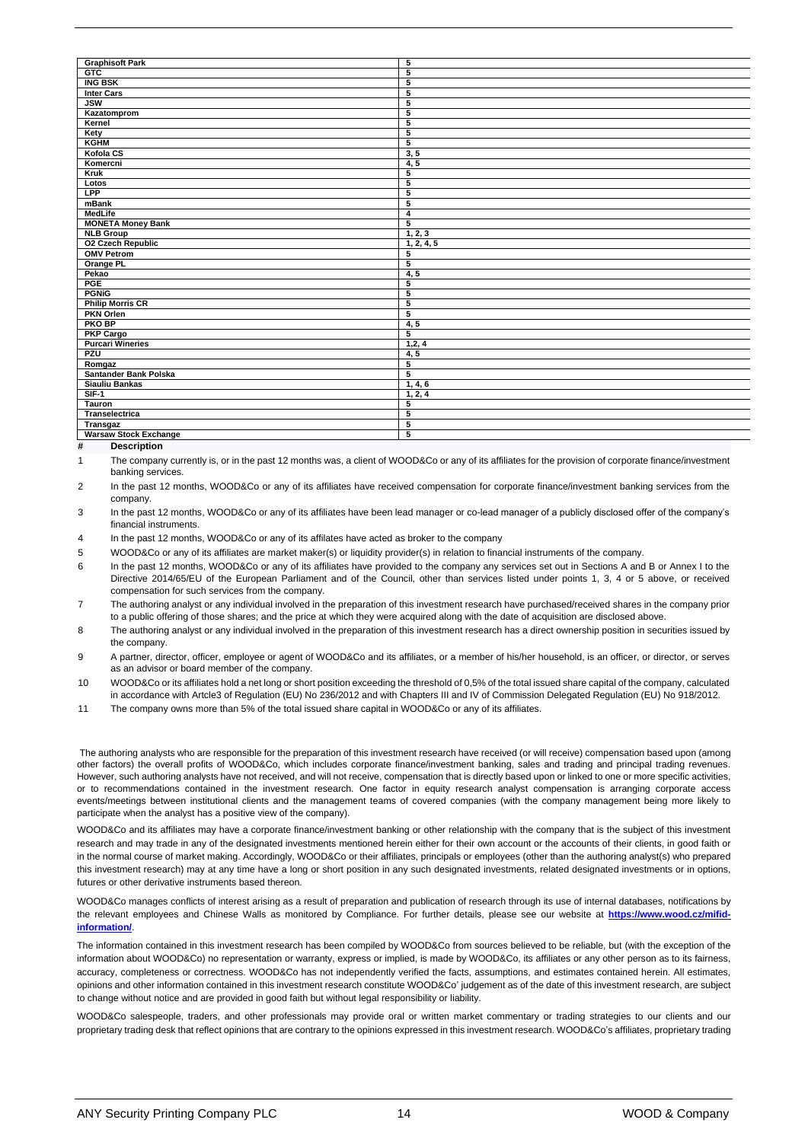| 5<br><b>GTC</b><br>5<br><b>ING BSK</b><br>5<br><b>Inter Cars</b><br>5<br><b>JSW</b><br>5<br>Kazatomprom<br>5<br>5<br>Kernel<br>$\overline{5}$<br>Kety<br><b>KGHM</b><br>5<br>Kofola CS<br>3, 5<br>Komercni<br>4, 5<br>Kruk<br>5<br>$\overline{\mathbf{5}}$<br>Lotos<br><b>LPP</b><br>5<br>5<br>mBank<br><b>MedLife</b><br>4<br><b>MONETA Money Bank</b><br>5<br><b>NLB Group</b><br>1, 2, 3<br><b>O2 Czech Republic</b><br>1, 2, 4, 5<br><b>OMV Petrom</b><br>5<br>Orange PL<br>5<br>4, 5<br>Pekao<br>PGE<br>5<br><b>PGNIG</b><br>5<br><b>Philip Morris CR</b><br>5<br><b>PKN Orlen</b><br>5<br><b>PKO BP</b><br>4, 5<br><b>PKP Cargo</b><br>5<br><b>Purcari Wineries</b><br>1,2,4<br>PZU<br>4, 5<br>5<br>Romgaz<br>Santander Bank Polska<br>$\overline{5}$<br><b>Siauliu Bankas</b><br>1, 4, 6<br>$SIF-1$<br>1, 2, 4<br>5<br>Tauron<br>5<br>Transelectrica<br>$\overline{5}$<br><b>Transgaz</b><br><b>Warsaw Stock Exchange</b><br>5 |                        |  |
|---------------------------------------------------------------------------------------------------------------------------------------------------------------------------------------------------------------------------------------------------------------------------------------------------------------------------------------------------------------------------------------------------------------------------------------------------------------------------------------------------------------------------------------------------------------------------------------------------------------------------------------------------------------------------------------------------------------------------------------------------------------------------------------------------------------------------------------------------------------------------------------------------------------------------------------|------------------------|--|
|                                                                                                                                                                                                                                                                                                                                                                                                                                                                                                                                                                                                                                                                                                                                                                                                                                                                                                                                       | <b>Graphisoft Park</b> |  |
|                                                                                                                                                                                                                                                                                                                                                                                                                                                                                                                                                                                                                                                                                                                                                                                                                                                                                                                                       |                        |  |
|                                                                                                                                                                                                                                                                                                                                                                                                                                                                                                                                                                                                                                                                                                                                                                                                                                                                                                                                       |                        |  |
|                                                                                                                                                                                                                                                                                                                                                                                                                                                                                                                                                                                                                                                                                                                                                                                                                                                                                                                                       |                        |  |
|                                                                                                                                                                                                                                                                                                                                                                                                                                                                                                                                                                                                                                                                                                                                                                                                                                                                                                                                       |                        |  |
|                                                                                                                                                                                                                                                                                                                                                                                                                                                                                                                                                                                                                                                                                                                                                                                                                                                                                                                                       |                        |  |
|                                                                                                                                                                                                                                                                                                                                                                                                                                                                                                                                                                                                                                                                                                                                                                                                                                                                                                                                       |                        |  |
|                                                                                                                                                                                                                                                                                                                                                                                                                                                                                                                                                                                                                                                                                                                                                                                                                                                                                                                                       |                        |  |
|                                                                                                                                                                                                                                                                                                                                                                                                                                                                                                                                                                                                                                                                                                                                                                                                                                                                                                                                       |                        |  |
|                                                                                                                                                                                                                                                                                                                                                                                                                                                                                                                                                                                                                                                                                                                                                                                                                                                                                                                                       |                        |  |
|                                                                                                                                                                                                                                                                                                                                                                                                                                                                                                                                                                                                                                                                                                                                                                                                                                                                                                                                       |                        |  |
|                                                                                                                                                                                                                                                                                                                                                                                                                                                                                                                                                                                                                                                                                                                                                                                                                                                                                                                                       |                        |  |
|                                                                                                                                                                                                                                                                                                                                                                                                                                                                                                                                                                                                                                                                                                                                                                                                                                                                                                                                       |                        |  |
|                                                                                                                                                                                                                                                                                                                                                                                                                                                                                                                                                                                                                                                                                                                                                                                                                                                                                                                                       |                        |  |
|                                                                                                                                                                                                                                                                                                                                                                                                                                                                                                                                                                                                                                                                                                                                                                                                                                                                                                                                       |                        |  |
|                                                                                                                                                                                                                                                                                                                                                                                                                                                                                                                                                                                                                                                                                                                                                                                                                                                                                                                                       |                        |  |
|                                                                                                                                                                                                                                                                                                                                                                                                                                                                                                                                                                                                                                                                                                                                                                                                                                                                                                                                       |                        |  |
|                                                                                                                                                                                                                                                                                                                                                                                                                                                                                                                                                                                                                                                                                                                                                                                                                                                                                                                                       |                        |  |
|                                                                                                                                                                                                                                                                                                                                                                                                                                                                                                                                                                                                                                                                                                                                                                                                                                                                                                                                       |                        |  |
|                                                                                                                                                                                                                                                                                                                                                                                                                                                                                                                                                                                                                                                                                                                                                                                                                                                                                                                                       |                        |  |
|                                                                                                                                                                                                                                                                                                                                                                                                                                                                                                                                                                                                                                                                                                                                                                                                                                                                                                                                       |                        |  |
|                                                                                                                                                                                                                                                                                                                                                                                                                                                                                                                                                                                                                                                                                                                                                                                                                                                                                                                                       |                        |  |
|                                                                                                                                                                                                                                                                                                                                                                                                                                                                                                                                                                                                                                                                                                                                                                                                                                                                                                                                       |                        |  |
|                                                                                                                                                                                                                                                                                                                                                                                                                                                                                                                                                                                                                                                                                                                                                                                                                                                                                                                                       |                        |  |
|                                                                                                                                                                                                                                                                                                                                                                                                                                                                                                                                                                                                                                                                                                                                                                                                                                                                                                                                       |                        |  |
|                                                                                                                                                                                                                                                                                                                                                                                                                                                                                                                                                                                                                                                                                                                                                                                                                                                                                                                                       |                        |  |
|                                                                                                                                                                                                                                                                                                                                                                                                                                                                                                                                                                                                                                                                                                                                                                                                                                                                                                                                       |                        |  |
|                                                                                                                                                                                                                                                                                                                                                                                                                                                                                                                                                                                                                                                                                                                                                                                                                                                                                                                                       |                        |  |
|                                                                                                                                                                                                                                                                                                                                                                                                                                                                                                                                                                                                                                                                                                                                                                                                                                                                                                                                       |                        |  |
|                                                                                                                                                                                                                                                                                                                                                                                                                                                                                                                                                                                                                                                                                                                                                                                                                                                                                                                                       |                        |  |
|                                                                                                                                                                                                                                                                                                                                                                                                                                                                                                                                                                                                                                                                                                                                                                                                                                                                                                                                       |                        |  |
|                                                                                                                                                                                                                                                                                                                                                                                                                                                                                                                                                                                                                                                                                                                                                                                                                                                                                                                                       |                        |  |
|                                                                                                                                                                                                                                                                                                                                                                                                                                                                                                                                                                                                                                                                                                                                                                                                                                                                                                                                       |                        |  |
|                                                                                                                                                                                                                                                                                                                                                                                                                                                                                                                                                                                                                                                                                                                                                                                                                                                                                                                                       |                        |  |
|                                                                                                                                                                                                                                                                                                                                                                                                                                                                                                                                                                                                                                                                                                                                                                                                                                                                                                                                       |                        |  |
|                                                                                                                                                                                                                                                                                                                                                                                                                                                                                                                                                                                                                                                                                                                                                                                                                                                                                                                                       |                        |  |
|                                                                                                                                                                                                                                                                                                                                                                                                                                                                                                                                                                                                                                                                                                                                                                                                                                                                                                                                       |                        |  |
|                                                                                                                                                                                                                                                                                                                                                                                                                                                                                                                                                                                                                                                                                                                                                                                                                                                                                                                                       |                        |  |

#### **# Description**

1 The company currently is, or in the past 12 months was, a client of WOOD&Co or any of its affiliates for the provision of corporate finance/investment banking services.

2 In the past 12 months, WOOD&Co or any of its affiliates have received compensation for corporate finance/investment banking services from the company.

3 In the past 12 months, WOOD&Co or any of its affiliates have been lead manager or co-lead manager of a publicly disclosed offer of the company's financial instruments.

4 In the past 12 months, WOOD&Co or any of its affilates have acted as broker to the company

5 WOOD&Co or any of its affiliates are market maker(s) or liquidity provider(s) in relation to financial instruments of the company.

6 In the past 12 months, WOOD&Co or any of its affiliates have provided to the company any services set out in Sections A and B or Annex I to the Directive 2014/65/EU of the European Parliament and of the Council, other than services listed under points 1, 3, 4 or 5 above, or received compensation for such services from the company.

7 The authoring analyst or any individual involved in the preparation of this investment research have purchased/received shares in the company prior to a public offering of those shares; and the price at which they were acquired along with the date of acquisition are disclosed above.

8 The authoring analyst or any individual involved in the preparation of this investment research has a direct ownership position in securities issued by the company.

9 A partner, director, officer, employee or agent of WOOD&Co and its affiliates, or a member of his/her household, is an officer, or director, or serves as an advisor or board member of the company.

10 WOOD&Co or its affiliates hold a net long or short position exceeding the threshold of 0,5% of the total issued share capital of the company, calculated in accordance with Artcle3 of Regulation (EU) No 236/2012 and with Chapters III and IV of Commission Delegated Regulation (EU) No 918/2012.

11 The company owns more than 5% of the total issued share capital in WOOD&Co or any of its affiliates.

The authoring analysts who are responsible for the preparation of this investment research have received (or will receive) compensation based upon (among other factors) the overall profits of WOOD&Co, which includes corporate finance/investment banking, sales and trading and principal trading revenues. However, such authoring analysts have not received, and will not receive, compensation that is directly based upon or linked to one or more specific activities, or to recommendations contained in the investment research. One factor in equity research analyst compensation is arranging corporate access events/meetings between institutional clients and the management teams of covered companies (with the company management being more likely to participate when the analyst has a positive view of the company).

WOOD&Co and its affiliates may have a corporate finance/investment banking or other relationship with the company that is the subject of this investment research and may trade in any of the designated investments mentioned herein either for their own account or the accounts of their clients, in good faith or in the normal course of market making. Accordingly, WOOD&Co or their affiliates, principals or employees (other than the authoring analyst(s) who prepared this investment research) may at any time have a long or short position in any such designated investments, related designated investments or in options, futures or other derivative instruments based thereon.

WOOD&Co manages conflicts of interest arising as a result of preparation and publication of research through its use of internal databases, notifications by the relevant employees and Chinese Walls as monitored by Compliance. For further details, please see our website at **https://www.wood.cz/mifidinformation/**.

The information contained in this investment research has been compiled by WOOD&Co from sources believed to be reliable, but (with the exception of the information about WOOD&Co) no representation or warranty, express or implied, is made by WOOD&Co, its affiliates or any other person as to its fairness, accuracy, completeness or correctness. WOOD&Co has not independently verified the facts, assumptions, and estimates contained herein. All estimates, opinions and other information contained in this investment research constitute WOOD&Co' judgement as of the date of this investment research, are subject to change without notice and are provided in good faith but without legal responsibility or liability.

WOOD&Co salespeople, traders, and other professionals may provide oral or written market commentary or trading strategies to our clients and our proprietary trading desk that reflect opinions that are contrary to the opinions expressed in this investment research. WOOD&Co's affiliates, proprietary trading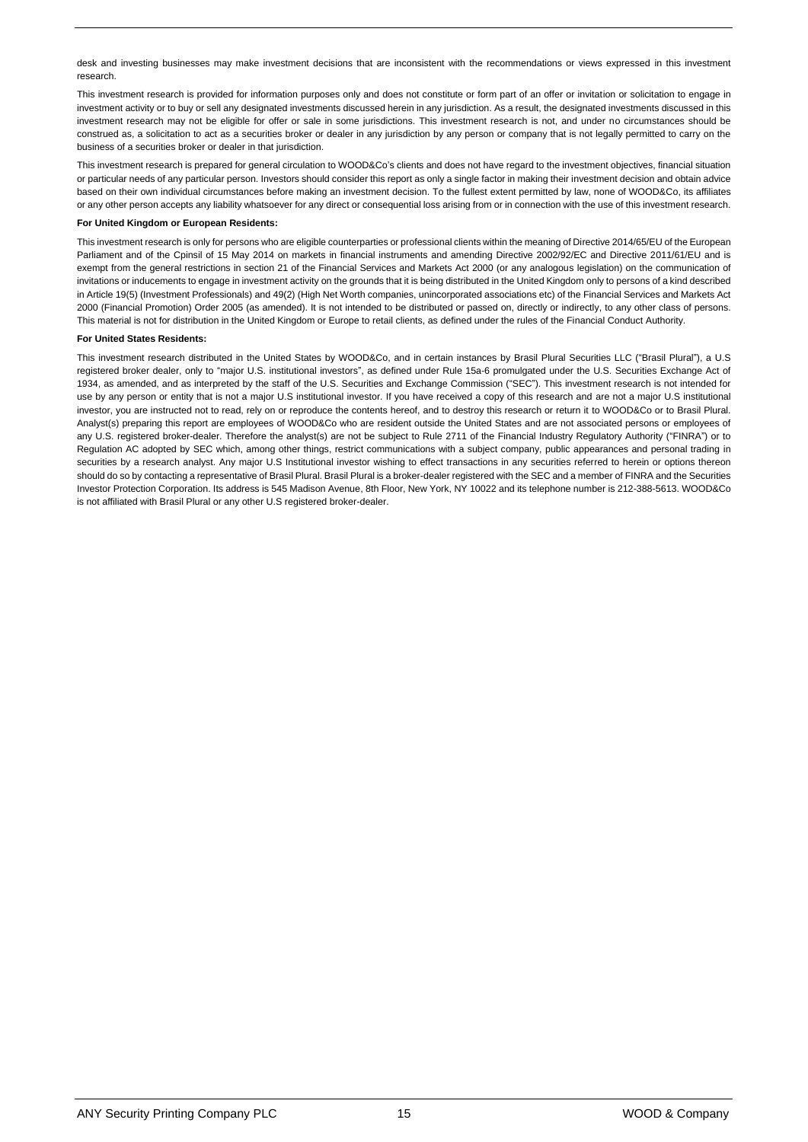desk and investing businesses may make investment decisions that are inconsistent with the recommendations or views expressed in this investment research.

This investment research is provided for information purposes only and does not constitute or form part of an offer or invitation or solicitation to engage in investment activity or to buy or sell any designated investments discussed herein in any jurisdiction. As a result, the designated investments discussed in this investment research may not be eligible for offer or sale in some jurisdictions. This investment research is not, and under no circumstances should be construed as, a solicitation to act as a securities broker or dealer in any jurisdiction by any person or company that is not legally permitted to carry on the business of a securities broker or dealer in that jurisdiction.

This investment research is prepared for general circulation to WOOD&Co's clients and does not have regard to the investment objectives, financial situation or particular needs of any particular person. Investors should consider this report as only a single factor in making their investment decision and obtain advice based on their own individual circumstances before making an investment decision. To the fullest extent permitted by law, none of WOOD&Co, its affiliates or any other person accepts any liability whatsoever for any direct or consequential loss arising from or in connection with the use of this investment research.

### **For United Kingdom or European Residents:**

This investment research is only for persons who are eligible counterparties or professional clients within the meaning of Directive 2014/65/EU of the European Parliament and of the Cpinsil of 15 May 2014 on markets in financial instruments and amending Directive 2002/92/EC and Directive 2011/61/EU and is exempt from the general restrictions in section 21 of the Financial Services and Markets Act 2000 (or any analogous legislation) on the communication of invitations or inducements to engage in investment activity on the grounds that it is being distributed in the United Kingdom only to persons of a kind described in Article 19(5) (Investment Professionals) and 49(2) (High Net Worth companies, unincorporated associations etc) of the Financial Services and Markets Act 2000 (Financial Promotion) Order 2005 (as amended). It is not intended to be distributed or passed on, directly or indirectly, to any other class of persons. This material is not for distribution in the United Kingdom or Europe to retail clients, as defined under the rules of the Financial Conduct Authority.

### **For United States Residents:**

This investment research distributed in the United States by WOOD&Co, and in certain instances by Brasil Plural Securities LLC ("Brasil Plural"), a U.S registered broker dealer, only to "major U.S. institutional investors", as defined under Rule 15a-6 promulgated under the U.S. Securities Exchange Act of 1934, as amended, and as interpreted by the staff of the U.S. Securities and Exchange Commission ("SEC"). This investment research is not intended for use by any person or entity that is not a major U.S institutional investor. If you have received a copy of this research and are not a major U.S institutional investor, you are instructed not to read, rely on or reproduce the contents hereof, and to destroy this research or return it to WOOD&Co or to Brasil Plural. Analyst(s) preparing this report are employees of WOOD&Co who are resident outside the United States and are not associated persons or employees of any U.S. registered broker-dealer. Therefore the analyst(s) are not be subject to Rule 2711 of the Financial Industry Regulatory Authority ("FINRA") or to Regulation AC adopted by SEC which, among other things, restrict communications with a subject company, public appearances and personal trading in securities by a research analyst. Any major U.S Institutional investor wishing to effect transactions in any securities referred to herein or options thereon should do so by contacting a representative of Brasil Plural. Brasil Plural is a broker-dealer registered with the SEC and a member of FINRA and the Securities Investor Protection Corporation. Its address is 545 Madison Avenue, 8th Floor, New York, NY 10022 and its telephone number is 212-388-5613. WOOD&Co is not affiliated with Brasil Plural or any other U.S registered broker-dealer.